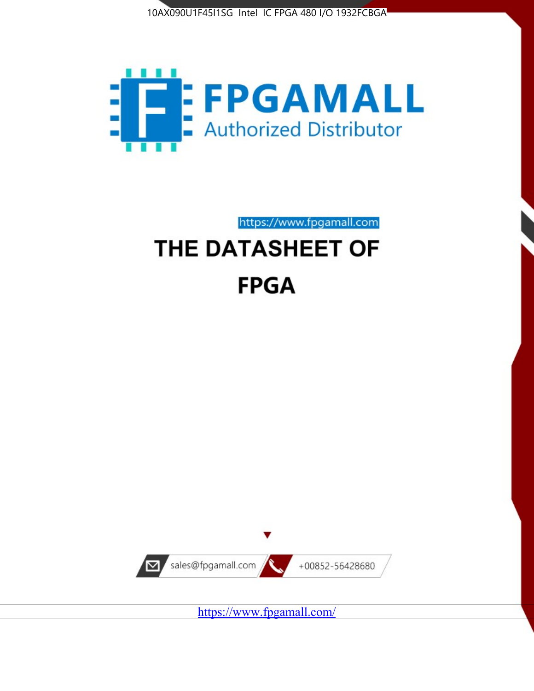



https://www.fpgamall.com

# THE DATASHEET OF **FPGA**



<https://www.fpgamall.com/>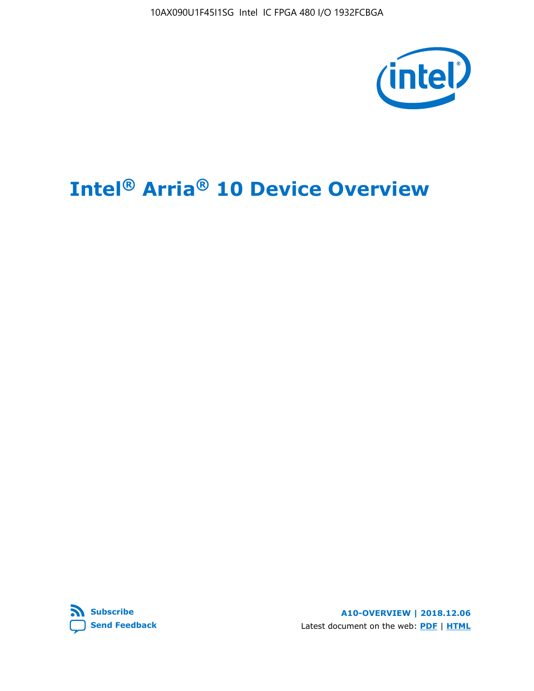10AX090U1F45I1SG Intel IC FPGA 480 I/O 1932FCBGA



# **Intel® Arria® 10 Device Overview**



**A10-OVERVIEW | 2018.12.06** Latest document on the web: **[PDF](https://www.intel.com/content/dam/www/programmable/us/en/pdfs/literature/hb/arria-10/a10_overview.pdf)** | **[HTML](https://www.intel.com/content/www/us/en/programmable/documentation/sam1403480274650.html)**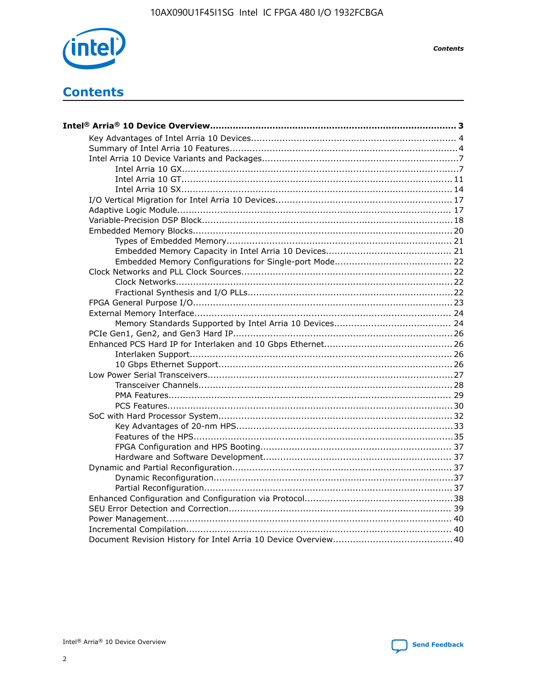

**Contents** 

# **Contents**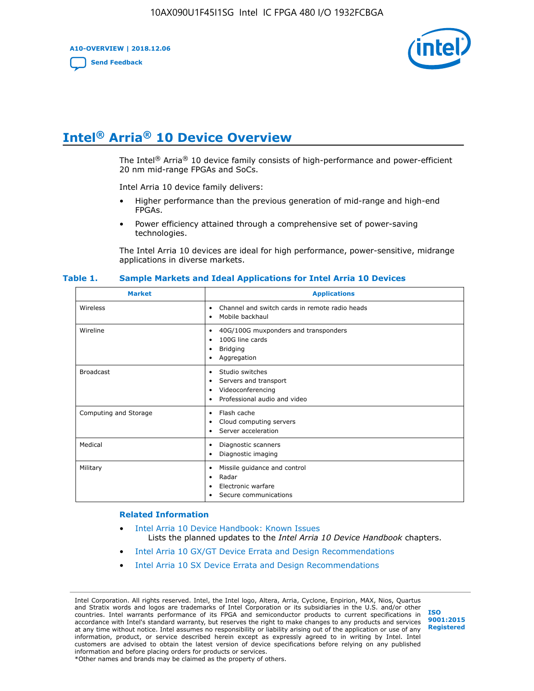**A10-OVERVIEW | 2018.12.06**

**[Send Feedback](mailto:FPGAtechdocfeedback@intel.com?subject=Feedback%20on%20Intel%20Arria%2010%20Device%20Overview%20(A10-OVERVIEW%202018.12.06)&body=We%20appreciate%20your%20feedback.%20In%20your%20comments,%20also%20specify%20the%20page%20number%20or%20paragraph.%20Thank%20you.)**



# **Intel® Arria® 10 Device Overview**

The Intel<sup>®</sup> Arria<sup>®</sup> 10 device family consists of high-performance and power-efficient 20 nm mid-range FPGAs and SoCs.

Intel Arria 10 device family delivers:

- Higher performance than the previous generation of mid-range and high-end FPGAs.
- Power efficiency attained through a comprehensive set of power-saving technologies.

The Intel Arria 10 devices are ideal for high performance, power-sensitive, midrange applications in diverse markets.

| <b>Market</b>         | <b>Applications</b>                                                                                               |
|-----------------------|-------------------------------------------------------------------------------------------------------------------|
| Wireless              | Channel and switch cards in remote radio heads<br>٠<br>Mobile backhaul<br>٠                                       |
| Wireline              | 40G/100G muxponders and transponders<br>٠<br>100G line cards<br>٠<br><b>Bridging</b><br>٠<br>Aggregation<br>٠     |
| <b>Broadcast</b>      | Studio switches<br>٠<br>Servers and transport<br>٠<br>Videoconferencing<br>٠<br>Professional audio and video<br>٠ |
| Computing and Storage | Flash cache<br>٠<br>Cloud computing servers<br>٠<br>Server acceleration<br>٠                                      |
| Medical               | Diagnostic scanners<br>٠<br>Diagnostic imaging<br>٠                                                               |
| Military              | Missile guidance and control<br>٠<br>Radar<br>٠<br>Electronic warfare<br>٠<br>Secure communications<br>٠          |

#### **Table 1. Sample Markets and Ideal Applications for Intel Arria 10 Devices**

#### **Related Information**

- [Intel Arria 10 Device Handbook: Known Issues](http://www.altera.com/support/kdb/solutions/rd07302013_646.html) Lists the planned updates to the *Intel Arria 10 Device Handbook* chapters.
- [Intel Arria 10 GX/GT Device Errata and Design Recommendations](https://www.intel.com/content/www/us/en/programmable/documentation/agz1493851706374.html#yqz1494433888646)
- [Intel Arria 10 SX Device Errata and Design Recommendations](https://www.intel.com/content/www/us/en/programmable/documentation/cru1462832385668.html#cru1462832558642)

Intel Corporation. All rights reserved. Intel, the Intel logo, Altera, Arria, Cyclone, Enpirion, MAX, Nios, Quartus and Stratix words and logos are trademarks of Intel Corporation or its subsidiaries in the U.S. and/or other countries. Intel warrants performance of its FPGA and semiconductor products to current specifications in accordance with Intel's standard warranty, but reserves the right to make changes to any products and services at any time without notice. Intel assumes no responsibility or liability arising out of the application or use of any information, product, or service described herein except as expressly agreed to in writing by Intel. Intel customers are advised to obtain the latest version of device specifications before relying on any published information and before placing orders for products or services. \*Other names and brands may be claimed as the property of others.

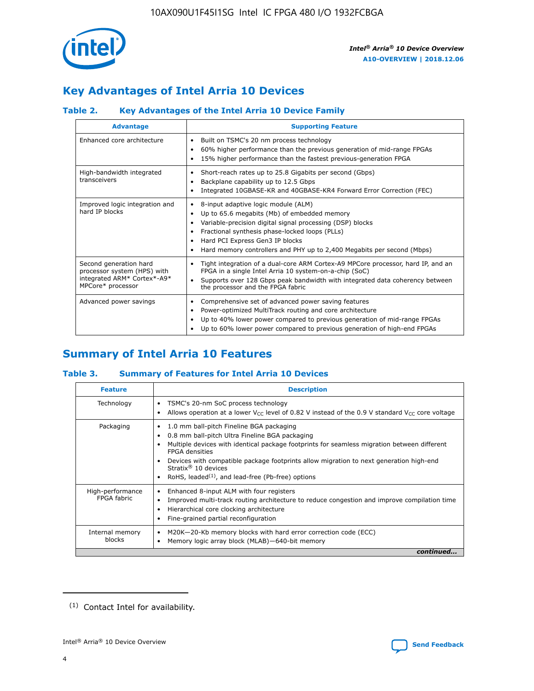

# **Key Advantages of Intel Arria 10 Devices**

## **Table 2. Key Advantages of the Intel Arria 10 Device Family**

| <b>Advantage</b>                                                                                          | <b>Supporting Feature</b>                                                                                                                                                                                                                                                                                                |
|-----------------------------------------------------------------------------------------------------------|--------------------------------------------------------------------------------------------------------------------------------------------------------------------------------------------------------------------------------------------------------------------------------------------------------------------------|
| Enhanced core architecture                                                                                | Built on TSMC's 20 nm process technology<br>٠<br>60% higher performance than the previous generation of mid-range FPGAs<br>٠<br>15% higher performance than the fastest previous-generation FPGA<br>٠                                                                                                                    |
| High-bandwidth integrated<br>transceivers                                                                 | Short-reach rates up to 25.8 Gigabits per second (Gbps)<br>٠<br>Backplane capability up to 12.5 Gbps<br>٠<br>Integrated 10GBASE-KR and 40GBASE-KR4 Forward Error Correction (FEC)<br>٠                                                                                                                                   |
| Improved logic integration and<br>hard IP blocks                                                          | 8-input adaptive logic module (ALM)<br>٠<br>Up to 65.6 megabits (Mb) of embedded memory<br>٠<br>Variable-precision digital signal processing (DSP) blocks<br>Fractional synthesis phase-locked loops (PLLs)<br>Hard PCI Express Gen3 IP blocks<br>Hard memory controllers and PHY up to 2,400 Megabits per second (Mbps) |
| Second generation hard<br>processor system (HPS) with<br>integrated ARM* Cortex*-A9*<br>MPCore* processor | Tight integration of a dual-core ARM Cortex-A9 MPCore processor, hard IP, and an<br>٠<br>FPGA in a single Intel Arria 10 system-on-a-chip (SoC)<br>Supports over 128 Gbps peak bandwidth with integrated data coherency between<br>$\bullet$<br>the processor and the FPGA fabric                                        |
| Advanced power savings                                                                                    | Comprehensive set of advanced power saving features<br>٠<br>Power-optimized MultiTrack routing and core architecture<br>٠<br>Up to 40% lower power compared to previous generation of mid-range FPGAs<br>٠<br>Up to 60% lower power compared to previous generation of high-end FPGAs<br>٠                               |

# **Summary of Intel Arria 10 Features**

## **Table 3. Summary of Features for Intel Arria 10 Devices**

| <b>Feature</b>                  | <b>Description</b>                                                                                                                                                                                                                                                                                                                                                                                       |
|---------------------------------|----------------------------------------------------------------------------------------------------------------------------------------------------------------------------------------------------------------------------------------------------------------------------------------------------------------------------------------------------------------------------------------------------------|
| Technology                      | TSMC's 20-nm SoC process technology<br>٠<br>Allows operation at a lower $V_{\text{CC}}$ level of 0.82 V instead of the 0.9 V standard $V_{\text{CC}}$ core voltage                                                                                                                                                                                                                                       |
| Packaging                       | 1.0 mm ball-pitch Fineline BGA packaging<br>0.8 mm ball-pitch Ultra Fineline BGA packaging<br>Multiple devices with identical package footprints for seamless migration between different<br><b>FPGA</b> densities<br>Devices with compatible package footprints allow migration to next generation high-end<br>Stratix $\mathcal{R}$ 10 devices<br>RoHS, leaded $(1)$ , and lead-free (Pb-free) options |
| High-performance<br>FPGA fabric | Enhanced 8-input ALM with four registers<br>٠<br>Improved multi-track routing architecture to reduce congestion and improve compilation time<br>Hierarchical core clocking architecture<br>Fine-grained partial reconfiguration                                                                                                                                                                          |
| Internal memory<br>blocks       | M20K-20-Kb memory blocks with hard error correction code (ECC)<br>Memory logic array block (MLAB)-640-bit memory                                                                                                                                                                                                                                                                                         |
|                                 | continued                                                                                                                                                                                                                                                                                                                                                                                                |



<sup>(1)</sup> Contact Intel for availability.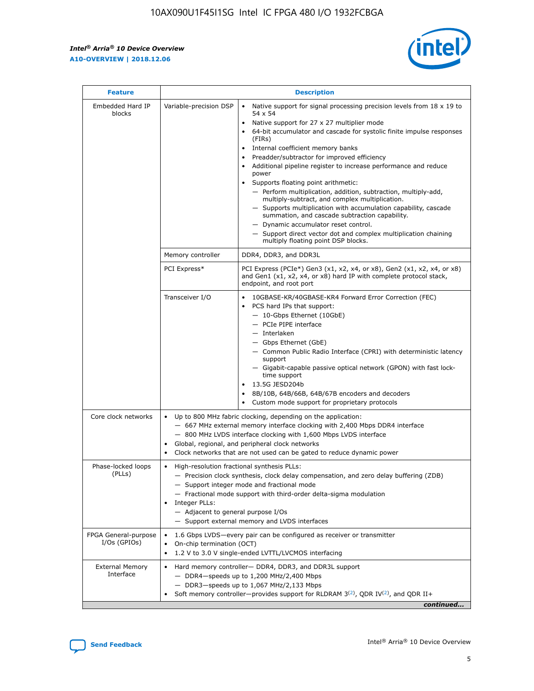$\mathbf{r}$ 



| <b>Feature</b>                         |                                                                                                                                                                                                                                                                                                                                       | <b>Description</b>                                                                                                                                                                                                                                                                                                                                                                                                                                                                                                                                                                                                                                                                                                                                                                                                                                                            |  |  |  |  |  |
|----------------------------------------|---------------------------------------------------------------------------------------------------------------------------------------------------------------------------------------------------------------------------------------------------------------------------------------------------------------------------------------|-------------------------------------------------------------------------------------------------------------------------------------------------------------------------------------------------------------------------------------------------------------------------------------------------------------------------------------------------------------------------------------------------------------------------------------------------------------------------------------------------------------------------------------------------------------------------------------------------------------------------------------------------------------------------------------------------------------------------------------------------------------------------------------------------------------------------------------------------------------------------------|--|--|--|--|--|
| Embedded Hard IP<br>blocks             | Variable-precision DSP                                                                                                                                                                                                                                                                                                                | Native support for signal processing precision levels from $18 \times 19$ to<br>$\bullet$<br>54 x 54<br>Native support for 27 x 27 multiplier mode<br>$\bullet$<br>64-bit accumulator and cascade for systolic finite impulse responses<br>$\bullet$<br>(FIRs)<br>Internal coefficient memory banks<br>$\bullet$<br>Preadder/subtractor for improved efficiency<br>Additional pipeline register to increase performance and reduce<br>power<br>Supports floating point arithmetic:<br>- Perform multiplication, addition, subtraction, multiply-add,<br>multiply-subtract, and complex multiplication.<br>- Supports multiplication with accumulation capability, cascade<br>summation, and cascade subtraction capability.<br>- Dynamic accumulator reset control.<br>- Support direct vector dot and complex multiplication chaining<br>multiply floating point DSP blocks. |  |  |  |  |  |
|                                        | Memory controller                                                                                                                                                                                                                                                                                                                     | DDR4, DDR3, and DDR3L                                                                                                                                                                                                                                                                                                                                                                                                                                                                                                                                                                                                                                                                                                                                                                                                                                                         |  |  |  |  |  |
|                                        | PCI Express*                                                                                                                                                                                                                                                                                                                          | PCI Express (PCIe*) Gen3 (x1, x2, x4, or x8), Gen2 (x1, x2, x4, or x8)<br>and Gen1 (x1, x2, x4, or x8) hard IP with complete protocol stack,<br>endpoint, and root port                                                                                                                                                                                                                                                                                                                                                                                                                                                                                                                                                                                                                                                                                                       |  |  |  |  |  |
|                                        | Transceiver I/O                                                                                                                                                                                                                                                                                                                       | 10GBASE-KR/40GBASE-KR4 Forward Error Correction (FEC)<br>PCS hard IPs that support:<br>٠<br>- 10-Gbps Ethernet (10GbE)<br>- PCIe PIPE interface<br>- Interlaken<br>- Gbps Ethernet (GbE)<br>- Common Public Radio Interface (CPRI) with deterministic latency<br>support<br>- Gigabit-capable passive optical network (GPON) with fast lock-<br>time support<br>13.5G JESD204b<br>$\bullet$<br>8B/10B, 64B/66B, 64B/67B encoders and decoders<br>$\bullet$<br>Custom mode support for proprietary protocols                                                                                                                                                                                                                                                                                                                                                                   |  |  |  |  |  |
| Core clock networks                    | $\bullet$                                                                                                                                                                                                                                                                                                                             | Up to 800 MHz fabric clocking, depending on the application:<br>- 667 MHz external memory interface clocking with 2,400 Mbps DDR4 interface<br>- 800 MHz LVDS interface clocking with 1,600 Mbps LVDS interface<br>Global, regional, and peripheral clock networks<br>Clock networks that are not used can be gated to reduce dynamic power                                                                                                                                                                                                                                                                                                                                                                                                                                                                                                                                   |  |  |  |  |  |
| Phase-locked loops<br>(PLLs)           | High-resolution fractional synthesis PLLs:<br>٠<br>Integer PLLs:<br>- Adjacent to general purpose I/Os                                                                                                                                                                                                                                | - Precision clock synthesis, clock delay compensation, and zero delay buffering (ZDB)<br>- Support integer mode and fractional mode<br>- Fractional mode support with third-order delta-sigma modulation<br>- Support external memory and LVDS interfaces                                                                                                                                                                                                                                                                                                                                                                                                                                                                                                                                                                                                                     |  |  |  |  |  |
| FPGA General-purpose<br>$I/Os$ (GPIOs) | On-chip termination (OCT)<br>٠                                                                                                                                                                                                                                                                                                        | 1.6 Gbps LVDS-every pair can be configured as receiver or transmitter                                                                                                                                                                                                                                                                                                                                                                                                                                                                                                                                                                                                                                                                                                                                                                                                         |  |  |  |  |  |
| <b>External Memory</b><br>Interface    | 1.2 V to 3.0 V single-ended LVTTL/LVCMOS interfacing<br>Hard memory controller- DDR4, DDR3, and DDR3L support<br>$\bullet$<br>$-$ DDR4 $-$ speeds up to 1,200 MHz/2,400 Mbps<br>- DDR3-speeds up to 1,067 MHz/2,133 Mbps<br>Soft memory controller—provides support for RLDRAM $3^{(2)}$ , QDR IV $^{(2)}$ , and QDR II+<br>continued |                                                                                                                                                                                                                                                                                                                                                                                                                                                                                                                                                                                                                                                                                                                                                                                                                                                                               |  |  |  |  |  |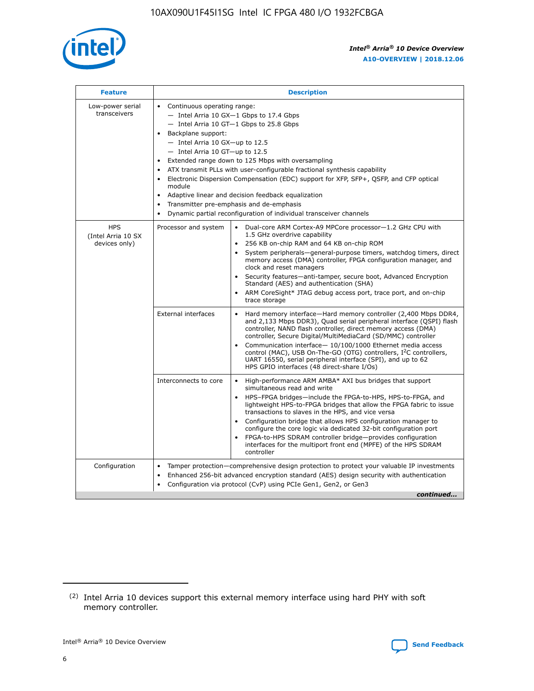

| <b>Feature</b>                                    | <b>Description</b>                                                                                                                                                                                                                                                                                                                                                                                                                                                                                                                                                                                                                             |
|---------------------------------------------------|------------------------------------------------------------------------------------------------------------------------------------------------------------------------------------------------------------------------------------------------------------------------------------------------------------------------------------------------------------------------------------------------------------------------------------------------------------------------------------------------------------------------------------------------------------------------------------------------------------------------------------------------|
| Low-power serial<br>transceivers                  | • Continuous operating range:<br>- Intel Arria 10 GX-1 Gbps to 17.4 Gbps<br>- Intel Arria 10 GT-1 Gbps to 25.8 Gbps<br>Backplane support:<br>$-$ Intel Arria 10 GX-up to 12.5<br>$-$ Intel Arria 10 GT-up to 12.5<br>Extended range down to 125 Mbps with oversampling<br>ATX transmit PLLs with user-configurable fractional synthesis capability<br>• Electronic Dispersion Compensation (EDC) support for XFP, SFP+, QSFP, and CFP optical<br>module<br>• Adaptive linear and decision feedback equalization<br>Transmitter pre-emphasis and de-emphasis<br>$\bullet$<br>Dynamic partial reconfiguration of individual transceiver channels |
| <b>HPS</b><br>(Intel Arria 10 SX<br>devices only) | Processor and system<br>Dual-core ARM Cortex-A9 MPCore processor-1.2 GHz CPU with<br>$\bullet$<br>1.5 GHz overdrive capability<br>256 KB on-chip RAM and 64 KB on-chip ROM<br>$\bullet$<br>System peripherals-general-purpose timers, watchdog timers, direct<br>memory access (DMA) controller, FPGA configuration manager, and<br>clock and reset managers<br>• Security features—anti-tamper, secure boot, Advanced Encryption<br>Standard (AES) and authentication (SHA)<br>ARM CoreSight* JTAG debug access port, trace port, and on-chip<br>trace storage                                                                                |
|                                                   | <b>External interfaces</b><br>Hard memory interface—Hard memory controller (2,400 Mbps DDR4,<br>$\bullet$<br>and 2,133 Mbps DDR3), Quad serial peripheral interface (QSPI) flash<br>controller, NAND flash controller, direct memory access (DMA)<br>controller, Secure Digital/MultiMediaCard (SD/MMC) controller<br>Communication interface-10/100/1000 Ethernet media access<br>control (MAC), USB On-The-GO (OTG) controllers, I <sup>2</sup> C controllers,<br>UART 16550, serial peripheral interface (SPI), and up to 62<br>HPS GPIO interfaces (48 direct-share I/Os)                                                                  |
|                                                   | High-performance ARM AMBA* AXI bus bridges that support<br>Interconnects to core<br>$\bullet$<br>simultaneous read and write<br>HPS-FPGA bridges—include the FPGA-to-HPS, HPS-to-FPGA, and<br>$\bullet$<br>lightweight HPS-to-FPGA bridges that allow the FPGA fabric to issue<br>transactions to slaves in the HPS, and vice versa<br>Configuration bridge that allows HPS configuration manager to<br>configure the core logic via dedicated 32-bit configuration port<br>FPGA-to-HPS SDRAM controller bridge-provides configuration<br>interfaces for the multiport front end (MPFE) of the HPS SDRAM<br>controller                         |
| Configuration                                     | Tamper protection—comprehensive design protection to protect your valuable IP investments<br>Enhanced 256-bit advanced encryption standard (AES) design security with authentication<br>$\bullet$<br>Configuration via protocol (CvP) using PCIe Gen1, Gen2, or Gen3<br>continued                                                                                                                                                                                                                                                                                                                                                              |

<sup>(2)</sup> Intel Arria 10 devices support this external memory interface using hard PHY with soft memory controller.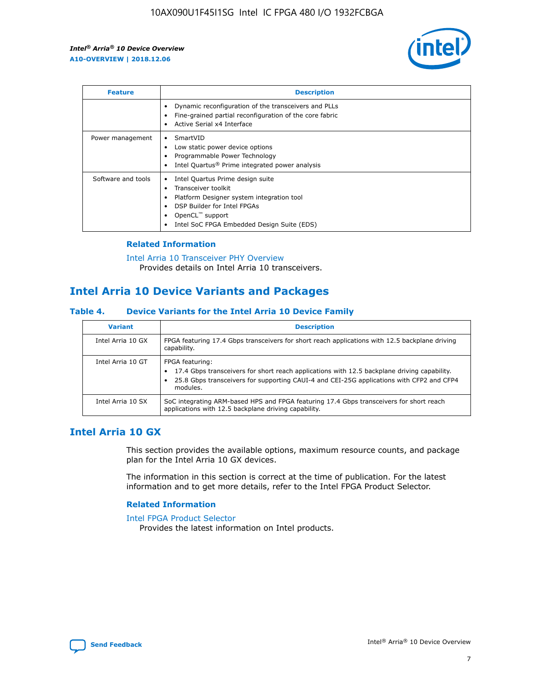

| <b>Feature</b>     | <b>Description</b>                                                                                                                                                                                               |
|--------------------|------------------------------------------------------------------------------------------------------------------------------------------------------------------------------------------------------------------|
|                    | Dynamic reconfiguration of the transceivers and PLLs<br>Fine-grained partial reconfiguration of the core fabric<br>Active Serial x4 Interface<br>$\bullet$                                                       |
| Power management   | SmartVID<br>Low static power device options<br>Programmable Power Technology<br>Intel Quartus <sup>®</sup> Prime integrated power analysis                                                                       |
| Software and tools | Intel Quartus Prime design suite<br>Transceiver toolkit<br>Platform Designer system integration tool<br>DSP Builder for Intel FPGAs<br>OpenCL <sup>™</sup> support<br>Intel SoC FPGA Embedded Design Suite (EDS) |

## **Related Information**

[Intel Arria 10 Transceiver PHY Overview](https://www.intel.com/content/www/us/en/programmable/documentation/nik1398707230472.html#nik1398706768037) Provides details on Intel Arria 10 transceivers.

## **Intel Arria 10 Device Variants and Packages**

#### **Table 4. Device Variants for the Intel Arria 10 Device Family**

| <b>Variant</b>    | <b>Description</b>                                                                                                                                                                                                     |
|-------------------|------------------------------------------------------------------------------------------------------------------------------------------------------------------------------------------------------------------------|
| Intel Arria 10 GX | FPGA featuring 17.4 Gbps transceivers for short reach applications with 12.5 backplane driving<br>capability.                                                                                                          |
| Intel Arria 10 GT | FPGA featuring:<br>17.4 Gbps transceivers for short reach applications with 12.5 backplane driving capability.<br>25.8 Gbps transceivers for supporting CAUI-4 and CEI-25G applications with CFP2 and CFP4<br>modules. |
| Intel Arria 10 SX | SoC integrating ARM-based HPS and FPGA featuring 17.4 Gbps transceivers for short reach<br>applications with 12.5 backplane driving capability.                                                                        |

## **Intel Arria 10 GX**

This section provides the available options, maximum resource counts, and package plan for the Intel Arria 10 GX devices.

The information in this section is correct at the time of publication. For the latest information and to get more details, refer to the Intel FPGA Product Selector.

#### **Related Information**

#### [Intel FPGA Product Selector](http://www.altera.com/products/selector/psg-selector.html) Provides the latest information on Intel products.

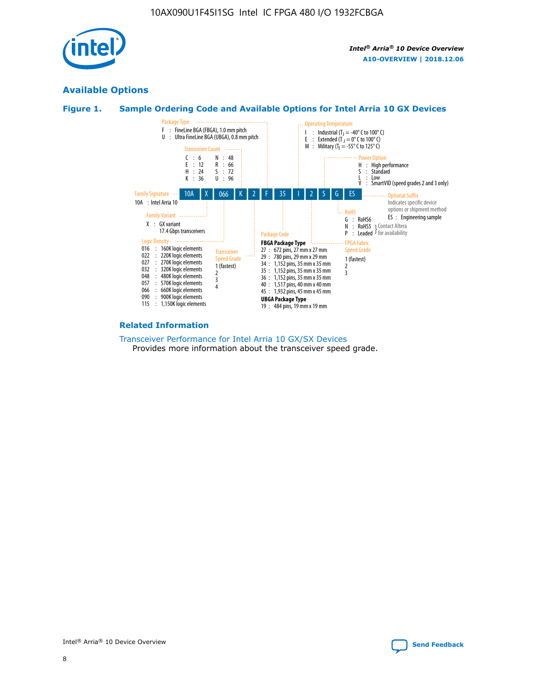

## **Available Options**





#### **Related Information**

[Transceiver Performance for Intel Arria 10 GX/SX Devices](https://www.intel.com/content/www/us/en/programmable/documentation/mcn1413182292568.html#mcn1413213965502) Provides more information about the transceiver speed grade.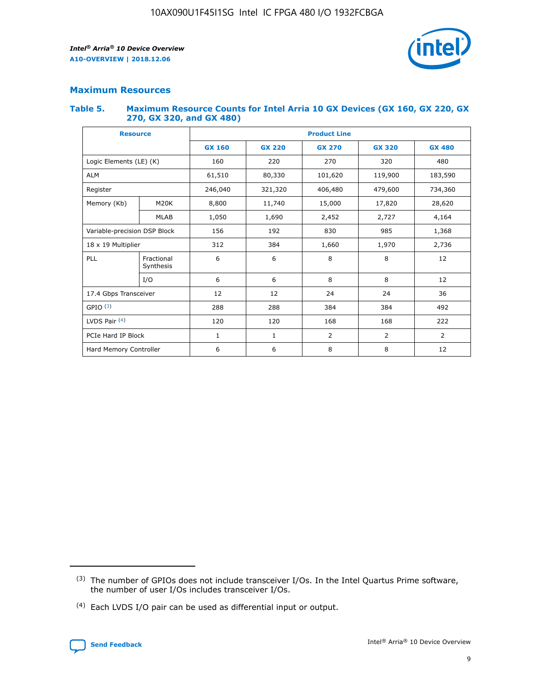

## **Maximum Resources**

#### **Table 5. Maximum Resource Counts for Intel Arria 10 GX Devices (GX 160, GX 220, GX 270, GX 320, and GX 480)**

| <b>Resource</b>         |                                                          | <b>Product Line</b> |                                                 |                |                |                |  |  |  |
|-------------------------|----------------------------------------------------------|---------------------|-------------------------------------------------|----------------|----------------|----------------|--|--|--|
|                         |                                                          | <b>GX 160</b>       | <b>GX 220</b><br><b>GX 270</b><br><b>GX 320</b> |                |                | <b>GX 480</b>  |  |  |  |
| Logic Elements (LE) (K) |                                                          | 160                 | 220                                             | 270            | 320            | 480            |  |  |  |
| <b>ALM</b>              |                                                          | 61,510              | 80,330                                          | 101,620        | 119,900        | 183,590        |  |  |  |
| Register                |                                                          | 246,040             | 321,320                                         | 406,480        | 479,600        | 734,360        |  |  |  |
| Memory (Kb)             | M <sub>20</sub> K                                        | 8,800               | 11,740                                          | 15,000         | 17,820         | 28,620         |  |  |  |
| <b>MLAB</b>             |                                                          | 1,050               | 1,690                                           |                | 2,727          | 4,164          |  |  |  |
|                         | 985<br>Variable-precision DSP Block<br>156<br>192<br>830 |                     |                                                 |                | 1,368          |                |  |  |  |
| 18 x 19 Multiplier      |                                                          | 312                 | 384                                             | 1,660          | 1,970          | 2,736          |  |  |  |
| PLL                     | Fractional<br>Synthesis                                  | 6                   | 6                                               | 8              | 8              | 12             |  |  |  |
|                         | I/O                                                      | 6                   | 6                                               | 8              | 8              | 12             |  |  |  |
| 17.4 Gbps Transceiver   |                                                          | 12                  | 12                                              | 24             | 24             | 36             |  |  |  |
| GPIO <sup>(3)</sup>     |                                                          | 288                 | 288                                             | 384<br>384     |                | 492            |  |  |  |
| LVDS Pair $(4)$         |                                                          | 120                 | 120                                             | 168            | 168            | 222            |  |  |  |
| PCIe Hard IP Block      |                                                          | $\mathbf{1}$        | 1                                               | $\overline{2}$ | $\overline{2}$ | $\overline{2}$ |  |  |  |
| Hard Memory Controller  |                                                          | 6                   | 6                                               | 8              | 8              | 12             |  |  |  |

<sup>(4)</sup> Each LVDS I/O pair can be used as differential input or output.



<sup>(3)</sup> The number of GPIOs does not include transceiver I/Os. In the Intel Quartus Prime software, the number of user I/Os includes transceiver I/Os.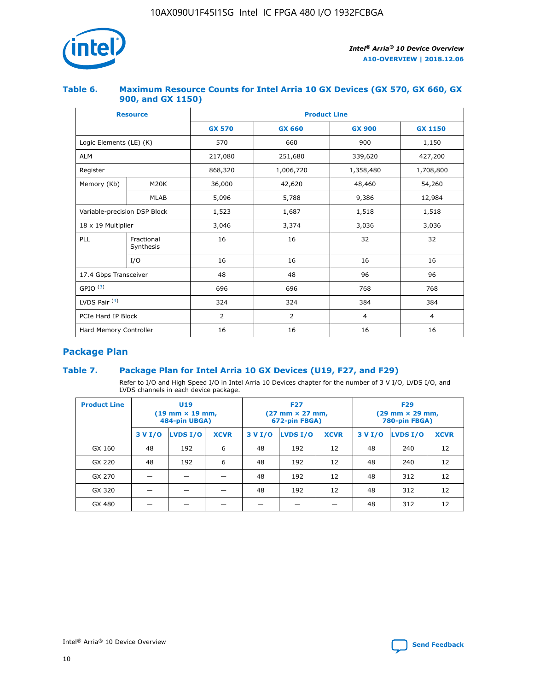

## **Table 6. Maximum Resource Counts for Intel Arria 10 GX Devices (GX 570, GX 660, GX 900, and GX 1150)**

|                              | <b>Resource</b>         | <b>Product Line</b> |                |                |                |  |  |  |
|------------------------------|-------------------------|---------------------|----------------|----------------|----------------|--|--|--|
|                              |                         | <b>GX 570</b>       | <b>GX 660</b>  | <b>GX 900</b>  | <b>GX 1150</b> |  |  |  |
| Logic Elements (LE) (K)      |                         | 570                 | 660            | 900            | 1,150          |  |  |  |
| <b>ALM</b>                   |                         | 217,080             | 251,680        | 339,620        | 427,200        |  |  |  |
| Register                     |                         | 868,320             | 1,006,720      | 1,358,480      | 1,708,800      |  |  |  |
| Memory (Kb)                  | <b>M20K</b>             | 36,000              | 42,620         | 48,460         | 54,260         |  |  |  |
|                              | <b>MLAB</b>             | 5,096               | 5,788          | 9,386          | 12,984         |  |  |  |
| Variable-precision DSP Block |                         | 1,523               | 1,687          | 1,518          | 1,518          |  |  |  |
|                              | 18 x 19 Multiplier      |                     | 3,374          | 3,036          | 3,036          |  |  |  |
| PLL                          | Fractional<br>Synthesis | 16                  | 16             | 32             | 32             |  |  |  |
|                              | I/O                     | 16                  | 16             | 16             | 16             |  |  |  |
| 17.4 Gbps Transceiver        |                         | 48                  | 48             | 96             | 96             |  |  |  |
| GPIO <sup>(3)</sup>          |                         | 696                 | 696            | 768            | 768            |  |  |  |
| LVDS Pair $(4)$              |                         | 324                 | 324<br>384     |                | 384            |  |  |  |
| PCIe Hard IP Block           |                         | 2                   | $\overline{2}$ | $\overline{4}$ | $\overline{4}$ |  |  |  |
| Hard Memory Controller       |                         | 16                  | 16             | 16             | 16             |  |  |  |

## **Package Plan**

## **Table 7. Package Plan for Intel Arria 10 GX Devices (U19, F27, and F29)**

Refer to I/O and High Speed I/O in Intel Arria 10 Devices chapter for the number of 3 V I/O, LVDS I/O, and LVDS channels in each device package.

| <b>Product Line</b> | U <sub>19</sub><br>$(19 \text{ mm} \times 19 \text{ mm})$<br>484-pin UBGA) |          |             |         | <b>F27</b><br>(27 mm × 27 mm,<br>672-pin FBGA) |             | <b>F29</b><br>(29 mm × 29 mm,<br>780-pin FBGA) |          |             |  |
|---------------------|----------------------------------------------------------------------------|----------|-------------|---------|------------------------------------------------|-------------|------------------------------------------------|----------|-------------|--|
|                     | 3 V I/O                                                                    | LVDS I/O | <b>XCVR</b> | 3 V I/O | LVDS I/O                                       | <b>XCVR</b> | 3 V I/O                                        | LVDS I/O | <b>XCVR</b> |  |
| GX 160              | 48                                                                         | 192      | 6           | 48      | 192                                            | 12          | 48                                             | 240      | 12          |  |
| GX 220              | 48                                                                         | 192      | 6           | 48      | 192                                            | 12          | 48                                             | 240      | 12          |  |
| GX 270              |                                                                            |          |             | 48      | 192                                            | 12          | 48                                             | 312      | 12          |  |
| GX 320              |                                                                            |          |             | 48      | 192                                            | 12          | 48                                             | 312      | 12          |  |
| GX 480              |                                                                            |          |             |         |                                                |             | 48                                             | 312      | 12          |  |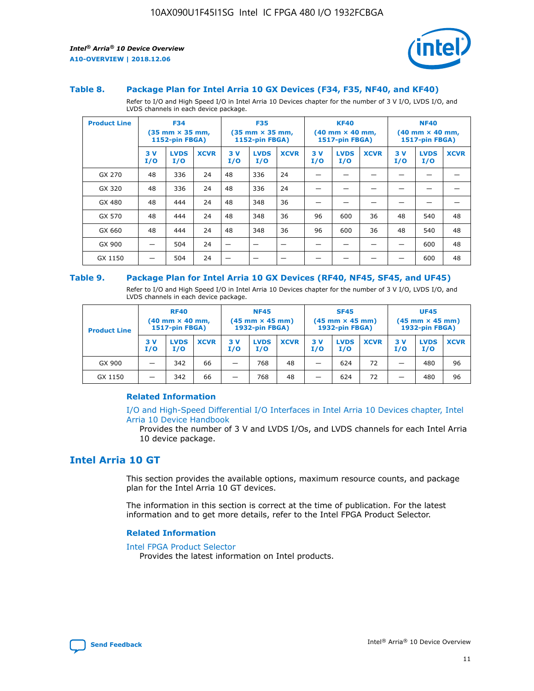

#### **Table 8. Package Plan for Intel Arria 10 GX Devices (F34, F35, NF40, and KF40)**

Refer to I/O and High Speed I/O in Intel Arria 10 Devices chapter for the number of 3 V I/O, LVDS I/O, and LVDS channels in each device package.

| <b>Product Line</b> | <b>F34</b><br>$(35 \text{ mm} \times 35 \text{ mm})$<br>1152-pin FBGA) |                    | <b>F35</b><br>$(35$ mm $\times$ 35 mm,<br><b>1152-pin FBGA)</b> |           | <b>KF40</b><br>$(40$ mm $\times$ 40 mm,<br>1517-pin FBGA) |             |           | <b>NF40</b><br>$(40 \text{ mm} \times 40 \text{ mm})$<br><b>1517-pin FBGA)</b> |             |            |                    |             |
|---------------------|------------------------------------------------------------------------|--------------------|-----------------------------------------------------------------|-----------|-----------------------------------------------------------|-------------|-----------|--------------------------------------------------------------------------------|-------------|------------|--------------------|-------------|
|                     | 3V<br>I/O                                                              | <b>LVDS</b><br>I/O | <b>XCVR</b>                                                     | 3V<br>I/O | <b>LVDS</b><br>I/O                                        | <b>XCVR</b> | 3V<br>I/O | <b>LVDS</b><br>I/O                                                             | <b>XCVR</b> | 3 V<br>I/O | <b>LVDS</b><br>I/O | <b>XCVR</b> |
| GX 270              | 48                                                                     | 336                | 24                                                              | 48        | 336                                                       | 24          |           |                                                                                |             |            |                    |             |
| GX 320              | 48                                                                     | 336                | 24                                                              | 48        | 336                                                       | 24          |           |                                                                                |             |            |                    |             |
| GX 480              | 48                                                                     | 444                | 24                                                              | 48        | 348                                                       | 36          |           |                                                                                |             |            |                    |             |
| GX 570              | 48                                                                     | 444                | 24                                                              | 48        | 348                                                       | 36          | 96        | 600                                                                            | 36          | 48         | 540                | 48          |
| GX 660              | 48                                                                     | 444                | 24                                                              | 48        | 348                                                       | 36          | 96        | 600                                                                            | 36          | 48         | 540                | 48          |
| GX 900              |                                                                        | 504                | 24                                                              | –         |                                                           |             |           |                                                                                |             |            | 600                | 48          |
| GX 1150             |                                                                        | 504                | 24                                                              |           |                                                           |             |           |                                                                                |             |            | 600                | 48          |

#### **Table 9. Package Plan for Intel Arria 10 GX Devices (RF40, NF45, SF45, and UF45)**

Refer to I/O and High Speed I/O in Intel Arria 10 Devices chapter for the number of 3 V I/O, LVDS I/O, and LVDS channels in each device package.

| <b>Product Line</b> | <b>RF40</b><br>$(40 \text{ mm} \times 40 \text{ mm})$<br>1517-pin FBGA) |                    |             | <b>NF45</b><br>$(45 \text{ mm} \times 45 \text{ mm})$<br><b>1932-pin FBGA)</b> |                    |             | <b>SF45</b><br>$(45 \text{ mm} \times 45 \text{ mm})$<br><b>1932-pin FBGA)</b> |                    |             | <b>UF45</b><br>$(45 \text{ mm} \times 45 \text{ mm})$<br><b>1932-pin FBGA)</b> |                    |             |
|---------------------|-------------------------------------------------------------------------|--------------------|-------------|--------------------------------------------------------------------------------|--------------------|-------------|--------------------------------------------------------------------------------|--------------------|-------------|--------------------------------------------------------------------------------|--------------------|-------------|
|                     | 3V<br>I/O                                                               | <b>LVDS</b><br>I/O | <b>XCVR</b> | 3V<br>I/O                                                                      | <b>LVDS</b><br>I/O | <b>XCVR</b> | 3V<br>I/O                                                                      | <b>LVDS</b><br>I/O | <b>XCVR</b> | 3V<br>I/O                                                                      | <b>LVDS</b><br>I/O | <b>XCVR</b> |
| GX 900              |                                                                         | 342                | 66          | -                                                                              | 768                | 48          | _                                                                              | 624                | 72          |                                                                                | 480                | 96          |
| GX 1150             |                                                                         | 342                | 66          | -                                                                              | 768                | 48          | -                                                                              | 624                | 72          |                                                                                | 480                | 96          |

### **Related Information**

[I/O and High-Speed Differential I/O Interfaces in Intel Arria 10 Devices chapter, Intel](https://www.intel.com/content/www/us/en/programmable/documentation/sam1403482614086.html#sam1403482030321) [Arria 10 Device Handbook](https://www.intel.com/content/www/us/en/programmable/documentation/sam1403482614086.html#sam1403482030321)

Provides the number of 3 V and LVDS I/Os, and LVDS channels for each Intel Arria 10 device package.

## **Intel Arria 10 GT**

This section provides the available options, maximum resource counts, and package plan for the Intel Arria 10 GT devices.

The information in this section is correct at the time of publication. For the latest information and to get more details, refer to the Intel FPGA Product Selector.

#### **Related Information**

#### [Intel FPGA Product Selector](http://www.altera.com/products/selector/psg-selector.html)

Provides the latest information on Intel products.

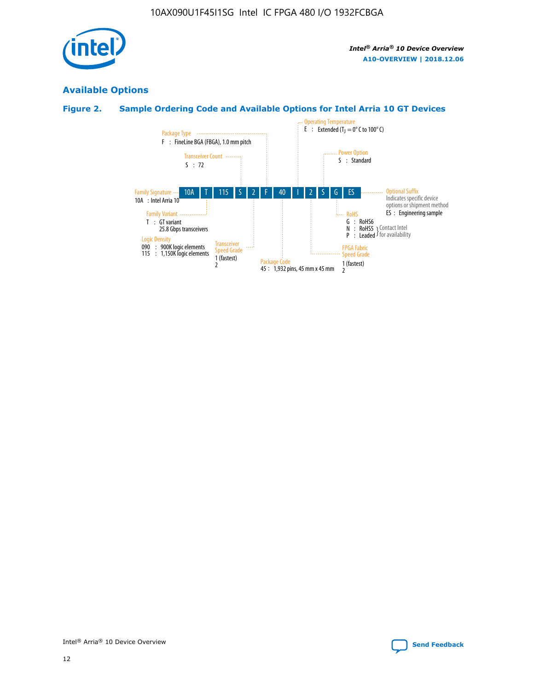

## **Available Options**

## **Figure 2. Sample Ordering Code and Available Options for Intel Arria 10 GT Devices**

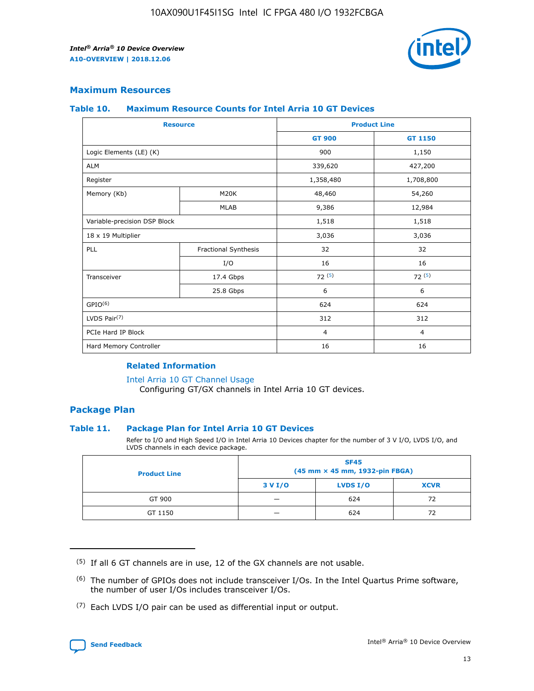

## **Maximum Resources**

#### **Table 10. Maximum Resource Counts for Intel Arria 10 GT Devices**

| <b>Resource</b>              |                      | <b>Product Line</b> |                |  |
|------------------------------|----------------------|---------------------|----------------|--|
|                              |                      | <b>GT 900</b>       | <b>GT 1150</b> |  |
| Logic Elements (LE) (K)      |                      | 900                 | 1,150          |  |
| <b>ALM</b>                   |                      | 339,620             | 427,200        |  |
| Register                     |                      | 1,358,480           | 1,708,800      |  |
| Memory (Kb)                  | M20K                 | 48,460              | 54,260         |  |
|                              | <b>MLAB</b>          | 9,386               | 12,984         |  |
| Variable-precision DSP Block |                      | 1,518               | 1,518          |  |
| 18 x 19 Multiplier           |                      | 3,036               | 3,036          |  |
| PLL                          | Fractional Synthesis | 32                  | 32             |  |
|                              | I/O                  | 16                  | 16             |  |
| Transceiver                  | 17.4 Gbps            | 72(5)               | 72(5)          |  |
|                              | 25.8 Gbps            | 6                   | 6              |  |
| GPIO <sup>(6)</sup>          |                      | 624                 | 624            |  |
| LVDS Pair $(7)$              |                      | 312                 | 312            |  |
| PCIe Hard IP Block           |                      | $\overline{4}$      | $\overline{4}$ |  |
| Hard Memory Controller       |                      | 16                  | 16             |  |

### **Related Information**

#### [Intel Arria 10 GT Channel Usage](https://www.intel.com/content/www/us/en/programmable/documentation/nik1398707230472.html#nik1398707008178)

Configuring GT/GX channels in Intel Arria 10 GT devices.

## **Package Plan**

### **Table 11. Package Plan for Intel Arria 10 GT Devices**

Refer to I/O and High Speed I/O in Intel Arria 10 Devices chapter for the number of 3 V I/O, LVDS I/O, and LVDS channels in each device package.

| <b>Product Line</b> | <b>SF45</b><br>(45 mm × 45 mm, 1932-pin FBGA) |                 |             |  |  |  |  |
|---------------------|-----------------------------------------------|-----------------|-------------|--|--|--|--|
|                     | 3 V I/O                                       | <b>LVDS I/O</b> | <b>XCVR</b> |  |  |  |  |
| GT 900              |                                               | 624             | 72          |  |  |  |  |
| GT 1150             |                                               | 624             | 72          |  |  |  |  |

<sup>(7)</sup> Each LVDS I/O pair can be used as differential input or output.



 $(5)$  If all 6 GT channels are in use, 12 of the GX channels are not usable.

<sup>(6)</sup> The number of GPIOs does not include transceiver I/Os. In the Intel Quartus Prime software, the number of user I/Os includes transceiver I/Os.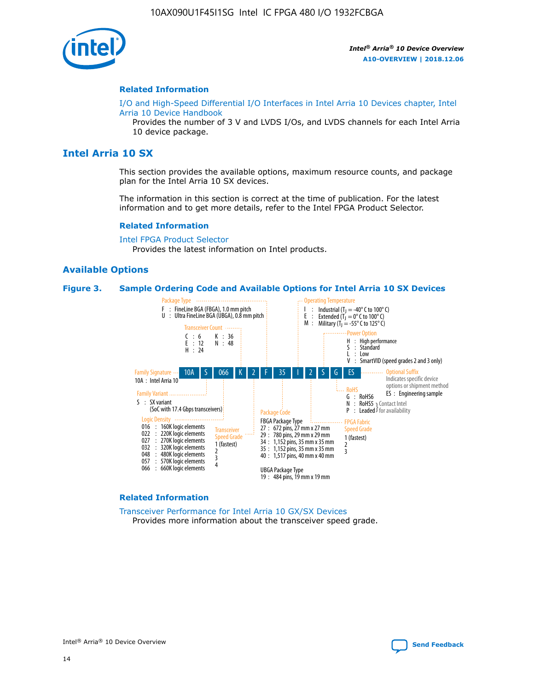

#### **Related Information**

[I/O and High-Speed Differential I/O Interfaces in Intel Arria 10 Devices chapter, Intel](https://www.intel.com/content/www/us/en/programmable/documentation/sam1403482614086.html#sam1403482030321) [Arria 10 Device Handbook](https://www.intel.com/content/www/us/en/programmable/documentation/sam1403482614086.html#sam1403482030321)

Provides the number of 3 V and LVDS I/Os, and LVDS channels for each Intel Arria 10 device package.

## **Intel Arria 10 SX**

This section provides the available options, maximum resource counts, and package plan for the Intel Arria 10 SX devices.

The information in this section is correct at the time of publication. For the latest information and to get more details, refer to the Intel FPGA Product Selector.

#### **Related Information**

[Intel FPGA Product Selector](http://www.altera.com/products/selector/psg-selector.html) Provides the latest information on Intel products.

#### **Available Options**

#### **Figure 3. Sample Ordering Code and Available Options for Intel Arria 10 SX Devices**



#### **Related Information**

[Transceiver Performance for Intel Arria 10 GX/SX Devices](https://www.intel.com/content/www/us/en/programmable/documentation/mcn1413182292568.html#mcn1413213965502) Provides more information about the transceiver speed grade.

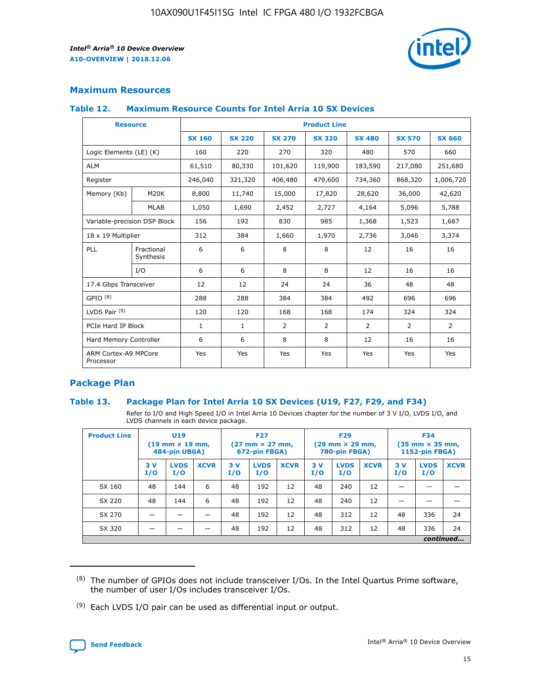

## **Maximum Resources**

#### **Table 12. Maximum Resource Counts for Intel Arria 10 SX Devices**

|                                   | <b>Resource</b>         | <b>Product Line</b> |               |                |                |                |                |                |  |  |  |
|-----------------------------------|-------------------------|---------------------|---------------|----------------|----------------|----------------|----------------|----------------|--|--|--|
|                                   |                         | <b>SX 160</b>       | <b>SX 220</b> | <b>SX 270</b>  | <b>SX 320</b>  | <b>SX 480</b>  | <b>SX 570</b>  | <b>SX 660</b>  |  |  |  |
| Logic Elements (LE) (K)           |                         | 160                 | 220           | 270            | 320            | 480            | 570            | 660            |  |  |  |
| <b>ALM</b>                        |                         | 61,510              | 80,330        | 101,620        | 119,900        | 183,590        | 217,080        | 251,680        |  |  |  |
| Register                          |                         | 246,040             | 321,320       | 406,480        | 479,600        | 734,360        | 868,320        | 1,006,720      |  |  |  |
| Memory (Kb)                       | M <sub>20</sub> K       | 8,800               | 11,740        | 15,000         | 17,820         | 28,620         | 36,000         | 42,620         |  |  |  |
|                                   | <b>MLAB</b>             | 1,050               | 1,690         | 2,452          | 2,727          | 4,164          | 5,096          | 5,788          |  |  |  |
| Variable-precision DSP Block      |                         | 156                 | 192           | 830            | 985            | 1,368          | 1,523          | 1,687          |  |  |  |
| 18 x 19 Multiplier                |                         | 312                 | 384           | 1,660          | 1,970          | 2,736          | 3,046          | 3,374          |  |  |  |
| <b>PLL</b>                        | Fractional<br>Synthesis | 6                   | 6             | 8              | 8              | 12             | 16             | 16             |  |  |  |
|                                   | I/O                     | 6                   | 6             | 8              | 8              | 12             | 16             | 16             |  |  |  |
| 17.4 Gbps Transceiver             |                         | 12                  | 12            | 24             | 24             | 36             | 48             | 48             |  |  |  |
| GPIO <sup>(8)</sup>               |                         | 288                 | 288           | 384            | 384            | 492            | 696            | 696            |  |  |  |
| LVDS Pair $(9)$                   |                         | 120                 | 120           | 168            | 168            | 174            | 324            | 324            |  |  |  |
| PCIe Hard IP Block                |                         | $\mathbf{1}$        | $\mathbf{1}$  | $\overline{2}$ | $\overline{2}$ | $\overline{2}$ | $\overline{2}$ | $\overline{2}$ |  |  |  |
| Hard Memory Controller            |                         | 6                   | 6             | 8              | 8              | 12             | 16             | 16             |  |  |  |
| ARM Cortex-A9 MPCore<br>Processor |                         | Yes                 | Yes           | Yes            | Yes            | Yes            | Yes            | Yes            |  |  |  |

## **Package Plan**

### **Table 13. Package Plan for Intel Arria 10 SX Devices (U19, F27, F29, and F34)**

Refer to I/O and High Speed I/O in Intel Arria 10 Devices chapter for the number of 3 V I/O, LVDS I/O, and LVDS channels in each device package.

| <b>Product Line</b> | <b>U19</b><br>$(19 \text{ mm} \times 19 \text{ mm})$<br>484-pin UBGA) |                    | <b>F27</b><br>$(27 \text{ mm} \times 27 \text{ mm})$<br>672-pin FBGA) |           | <b>F29</b><br>$(29$ mm $\times$ 29 mm,<br>780-pin FBGA) |             |            | <b>F34</b><br>$(35 \text{ mm} \times 35 \text{ mm})$<br>1152-pin FBGA) |             |           |                    |             |
|---------------------|-----------------------------------------------------------------------|--------------------|-----------------------------------------------------------------------|-----------|---------------------------------------------------------|-------------|------------|------------------------------------------------------------------------|-------------|-----------|--------------------|-------------|
|                     | 3V<br>I/O                                                             | <b>LVDS</b><br>I/O | <b>XCVR</b>                                                           | 3V<br>I/O | <b>LVDS</b><br>I/O                                      | <b>XCVR</b> | 3 V<br>I/O | <b>LVDS</b><br>I/O                                                     | <b>XCVR</b> | 3V<br>I/O | <b>LVDS</b><br>I/O | <b>XCVR</b> |
| SX 160              | 48                                                                    | 144                | 6                                                                     | 48        | 192                                                     | 12          | 48         | 240                                                                    | 12          | –         |                    |             |
| SX 220              | 48                                                                    | 144                | 6                                                                     | 48        | 192                                                     | 12          | 48         | 240                                                                    | 12          |           |                    |             |
| SX 270              |                                                                       |                    |                                                                       | 48        | 192                                                     | 12          | 48         | 312                                                                    | 12          | 48        | 336                | 24          |
| SX 320              |                                                                       |                    |                                                                       | 48        | 192                                                     | 12          | 48         | 312                                                                    | 12          | 48        | 336                | 24          |
|                     | continued                                                             |                    |                                                                       |           |                                                         |             |            |                                                                        |             |           |                    |             |

 $(8)$  The number of GPIOs does not include transceiver I/Os. In the Intel Quartus Prime software, the number of user I/Os includes transceiver I/Os.

 $(9)$  Each LVDS I/O pair can be used as differential input or output.

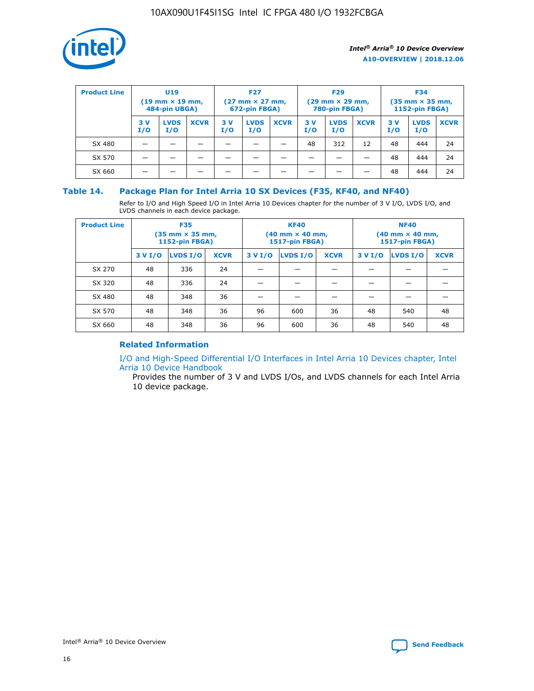

| <b>Product Line</b> | <b>U19</b><br>$(19 \text{ mm} \times 19 \text{ mm})$<br>484-pin UBGA) |                    | <b>F27</b><br>$(27 \text{ mm} \times 27 \text{ mm})$<br>672-pin FBGA) |            | <b>F29</b><br>$(29$ mm $\times$ 29 mm,<br>780-pin FBGA) |             |           | <b>F34</b><br>$(35$ mm $\times$ 35 mm,<br><b>1152-pin FBGA)</b> |             |           |                    |             |
|---------------------|-----------------------------------------------------------------------|--------------------|-----------------------------------------------------------------------|------------|---------------------------------------------------------|-------------|-----------|-----------------------------------------------------------------|-------------|-----------|--------------------|-------------|
|                     | 3 V<br>I/O                                                            | <b>LVDS</b><br>I/O | <b>XCVR</b>                                                           | 3 V<br>I/O | <b>LVDS</b><br>I/O                                      | <b>XCVR</b> | 3V<br>I/O | <b>LVDS</b><br>I/O                                              | <b>XCVR</b> | 3V<br>I/O | <b>LVDS</b><br>I/O | <b>XCVR</b> |
| SX 480              |                                                                       |                    |                                                                       |            |                                                         |             | 48        | 312                                                             | 12          | 48        | 444                | 24          |
| SX 570              |                                                                       |                    |                                                                       |            |                                                         |             |           |                                                                 |             | 48        | 444                | 24          |
| SX 660              |                                                                       |                    |                                                                       |            |                                                         |             |           |                                                                 |             | 48        | 444                | 24          |

## **Table 14. Package Plan for Intel Arria 10 SX Devices (F35, KF40, and NF40)**

Refer to I/O and High Speed I/O in Intel Arria 10 Devices chapter for the number of 3 V I/O, LVDS I/O, and LVDS channels in each device package.

| <b>Product Line</b> | <b>F35</b><br>(35 mm × 35 mm,<br><b>1152-pin FBGA)</b> |          |             |                                           | <b>KF40</b><br>(40 mm × 40 mm,<br>1517-pin FBGA) |    | <b>NF40</b><br>$(40 \text{ mm} \times 40 \text{ mm})$<br>1517-pin FBGA) |          |             |  |
|---------------------|--------------------------------------------------------|----------|-------------|-------------------------------------------|--------------------------------------------------|----|-------------------------------------------------------------------------|----------|-------------|--|
|                     | 3 V I/O                                                | LVDS I/O | <b>XCVR</b> | <b>LVDS I/O</b><br>3 V I/O<br><b>XCVR</b> |                                                  |    | 3 V I/O                                                                 | LVDS I/O | <b>XCVR</b> |  |
| SX 270              | 48                                                     | 336      | 24          |                                           |                                                  |    |                                                                         |          |             |  |
| SX 320              | 48                                                     | 336      | 24          |                                           |                                                  |    |                                                                         |          |             |  |
| SX 480              | 48                                                     | 348      | 36          |                                           |                                                  |    |                                                                         |          |             |  |
| SX 570              | 48                                                     | 348      | 36          | 96                                        | 600                                              | 36 | 48                                                                      | 540      | 48          |  |
| SX 660              | 48                                                     | 348      | 36          | 96                                        | 600                                              | 36 | 48                                                                      | 540      | 48          |  |

## **Related Information**

[I/O and High-Speed Differential I/O Interfaces in Intel Arria 10 Devices chapter, Intel](https://www.intel.com/content/www/us/en/programmable/documentation/sam1403482614086.html#sam1403482030321) [Arria 10 Device Handbook](https://www.intel.com/content/www/us/en/programmable/documentation/sam1403482614086.html#sam1403482030321)

Provides the number of 3 V and LVDS I/Os, and LVDS channels for each Intel Arria 10 device package.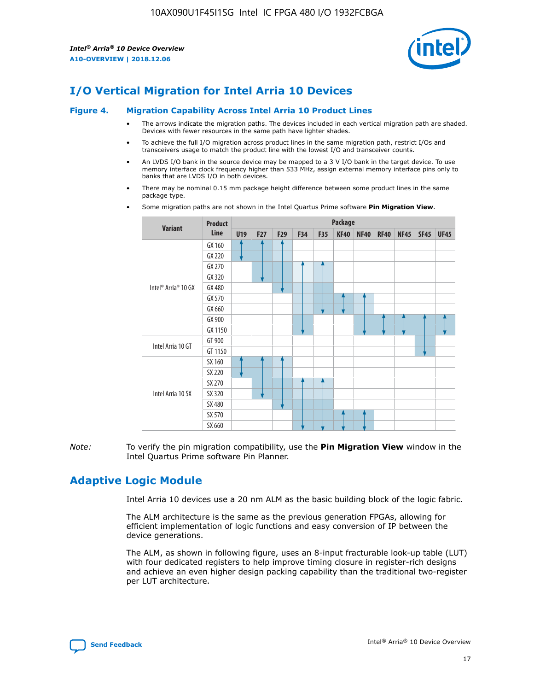

# **I/O Vertical Migration for Intel Arria 10 Devices**

#### **Figure 4. Migration Capability Across Intel Arria 10 Product Lines**

- The arrows indicate the migration paths. The devices included in each vertical migration path are shaded. Devices with fewer resources in the same path have lighter shades.
- To achieve the full I/O migration across product lines in the same migration path, restrict I/Os and transceivers usage to match the product line with the lowest I/O and transceiver counts.
- An LVDS I/O bank in the source device may be mapped to a 3 V I/O bank in the target device. To use memory interface clock frequency higher than 533 MHz, assign external memory interface pins only to banks that are LVDS I/O in both devices.
- There may be nominal 0.15 mm package height difference between some product lines in the same package type.
	- **Variant Product Line Package U19 F27 F29 F34 F35 KF40 NF40 RF40 NF45 SF45 UF45** Intel® Arria® 10 GX GX 160 GX 220 GX 270 GX 320 GX 480 GX 570 GX 660 GX 900 GX 1150 Intel Arria 10 GT GT 900 GT 1150 Intel Arria 10 SX SX 160 SX 220 SX 270 SX 320 SX 480 SX 570 SX 660
- Some migration paths are not shown in the Intel Quartus Prime software **Pin Migration View**.

*Note:* To verify the pin migration compatibility, use the **Pin Migration View** window in the Intel Quartus Prime software Pin Planner.

## **Adaptive Logic Module**

Intel Arria 10 devices use a 20 nm ALM as the basic building block of the logic fabric.

The ALM architecture is the same as the previous generation FPGAs, allowing for efficient implementation of logic functions and easy conversion of IP between the device generations.

The ALM, as shown in following figure, uses an 8-input fracturable look-up table (LUT) with four dedicated registers to help improve timing closure in register-rich designs and achieve an even higher design packing capability than the traditional two-register per LUT architecture.

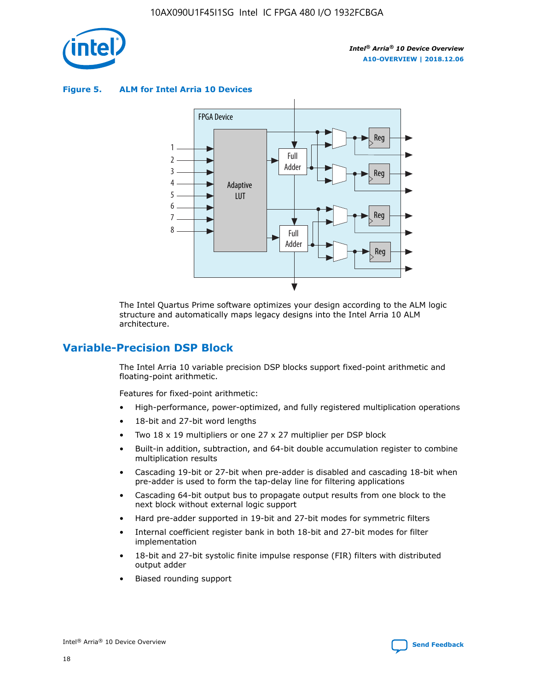

**Figure 5. ALM for Intel Arria 10 Devices**



The Intel Quartus Prime software optimizes your design according to the ALM logic structure and automatically maps legacy designs into the Intel Arria 10 ALM architecture.

## **Variable-Precision DSP Block**

The Intel Arria 10 variable precision DSP blocks support fixed-point arithmetic and floating-point arithmetic.

Features for fixed-point arithmetic:

- High-performance, power-optimized, and fully registered multiplication operations
- 18-bit and 27-bit word lengths
- Two 18 x 19 multipliers or one 27 x 27 multiplier per DSP block
- Built-in addition, subtraction, and 64-bit double accumulation register to combine multiplication results
- Cascading 19-bit or 27-bit when pre-adder is disabled and cascading 18-bit when pre-adder is used to form the tap-delay line for filtering applications
- Cascading 64-bit output bus to propagate output results from one block to the next block without external logic support
- Hard pre-adder supported in 19-bit and 27-bit modes for symmetric filters
- Internal coefficient register bank in both 18-bit and 27-bit modes for filter implementation
- 18-bit and 27-bit systolic finite impulse response (FIR) filters with distributed output adder
- Biased rounding support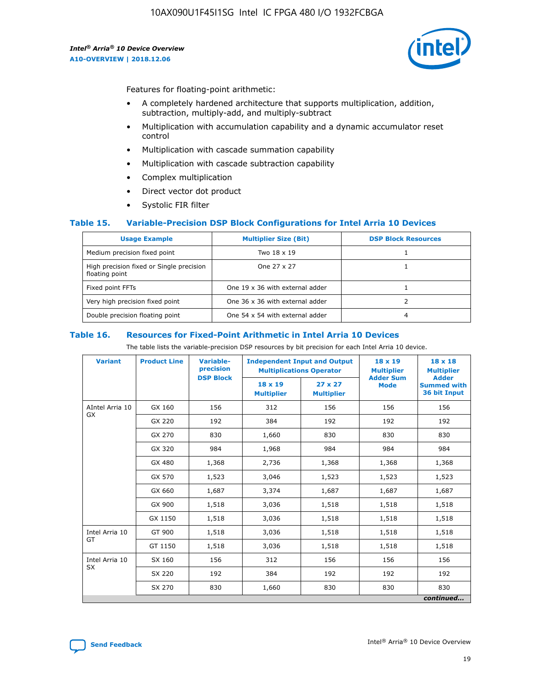

Features for floating-point arithmetic:

- A completely hardened architecture that supports multiplication, addition, subtraction, multiply-add, and multiply-subtract
- Multiplication with accumulation capability and a dynamic accumulator reset control
- Multiplication with cascade summation capability
- Multiplication with cascade subtraction capability
- Complex multiplication
- Direct vector dot product
- Systolic FIR filter

### **Table 15. Variable-Precision DSP Block Configurations for Intel Arria 10 Devices**

| <b>Usage Example</b>                                       | <b>Multiplier Size (Bit)</b>    | <b>DSP Block Resources</b> |
|------------------------------------------------------------|---------------------------------|----------------------------|
| Medium precision fixed point                               | Two 18 x 19                     |                            |
| High precision fixed or Single precision<br>floating point | One 27 x 27                     |                            |
| Fixed point FFTs                                           | One 19 x 36 with external adder |                            |
| Very high precision fixed point                            | One 36 x 36 with external adder |                            |
| Double precision floating point                            | One 54 x 54 with external adder | 4                          |

#### **Table 16. Resources for Fixed-Point Arithmetic in Intel Arria 10 Devices**

The table lists the variable-precision DSP resources by bit precision for each Intel Arria 10 device.

| <b>Variant</b>  | <b>Product Line</b> | <b>Variable-</b><br>precision<br><b>DSP Block</b> | <b>Independent Input and Output</b><br><b>Multiplications Operator</b> |                                     | 18 x 19<br><b>Multiplier</b><br><b>Adder Sum</b> | $18 \times 18$<br><b>Multiplier</b><br><b>Adder</b> |
|-----------------|---------------------|---------------------------------------------------|------------------------------------------------------------------------|-------------------------------------|--------------------------------------------------|-----------------------------------------------------|
|                 |                     |                                                   | 18 x 19<br><b>Multiplier</b>                                           | $27 \times 27$<br><b>Multiplier</b> | <b>Mode</b>                                      | <b>Summed with</b><br>36 bit Input                  |
| AIntel Arria 10 | GX 160              | 156                                               | 312                                                                    | 156                                 | 156                                              | 156                                                 |
| GX              | GX 220              | 192                                               | 384                                                                    | 192                                 | 192                                              | 192                                                 |
|                 | GX 270              | 830                                               | 1,660                                                                  | 830                                 | 830                                              | 830                                                 |
|                 | GX 320              | 984                                               | 1,968                                                                  | 984                                 | 984                                              | 984                                                 |
|                 | GX 480              | 1,368                                             | 2,736                                                                  | 1,368                               | 1,368                                            | 1,368                                               |
|                 | GX 570              | 1,523                                             | 3,046                                                                  | 1,523                               | 1,523                                            | 1,523                                               |
|                 | GX 660              | 1,687                                             | 3,374                                                                  | 1,687                               | 1,687                                            | 1,687                                               |
|                 | GX 900              | 1,518                                             | 3,036                                                                  | 1,518                               | 1,518                                            | 1,518                                               |
|                 | GX 1150             | 1,518                                             | 3,036                                                                  | 1,518                               | 1,518                                            | 1,518                                               |
| Intel Arria 10  | GT 900              | 1,518                                             | 3,036                                                                  | 1,518                               | 1,518                                            | 1,518                                               |
| GT              | GT 1150             | 1,518                                             | 3,036                                                                  | 1,518                               | 1,518                                            | 1,518                                               |
| Intel Arria 10  | SX 160              | 156                                               | 312                                                                    | 156                                 | 156                                              | 156                                                 |
| <b>SX</b>       | SX 220              | 192                                               | 384                                                                    | 192                                 | 192                                              | 192                                                 |
|                 | SX 270              | 830                                               | 830<br>1,660                                                           |                                     | 830                                              | 830                                                 |
|                 |                     |                                                   |                                                                        |                                     |                                                  | continued                                           |

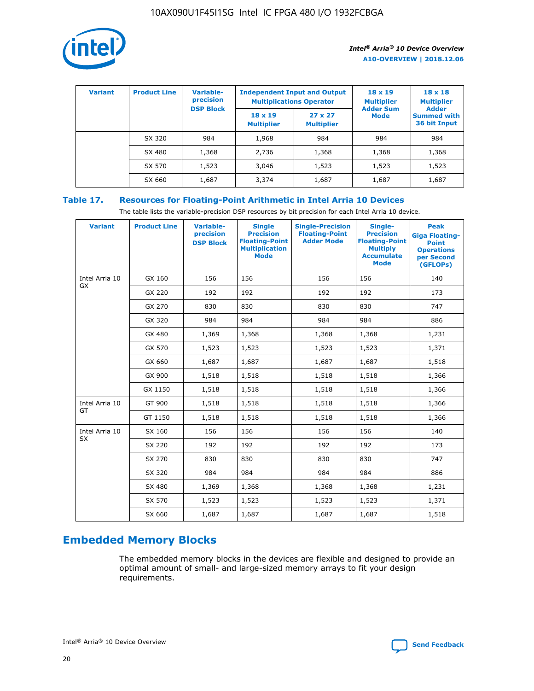

| <b>Variant</b> | <b>Product Line</b> | Variable-<br>precision | <b>Independent Input and Output</b><br><b>Multiplications Operator</b> |                                     | $18 \times 19$<br><b>Multiplier</b> | $18 \times 18$<br><b>Multiplier</b><br><b>Adder</b> |  |
|----------------|---------------------|------------------------|------------------------------------------------------------------------|-------------------------------------|-------------------------------------|-----------------------------------------------------|--|
|                |                     | <b>DSP Block</b>       | $18 \times 19$<br><b>Multiplier</b>                                    | $27 \times 27$<br><b>Multiplier</b> | <b>Adder Sum</b><br><b>Mode</b>     | <b>Summed with</b><br>36 bit Input                  |  |
|                | SX 320              | 984                    | 1,968                                                                  | 984                                 | 984                                 | 984                                                 |  |
|                | SX 480              | 1,368                  | 2,736                                                                  | 1,368                               | 1,368                               | 1,368                                               |  |
|                | SX 570              | 1,523                  | 3,046                                                                  | 1,523                               | 1,523                               | 1,523                                               |  |
|                | SX 660              | 1,687                  | 3,374                                                                  | 1,687                               | 1,687                               | 1,687                                               |  |

## **Table 17. Resources for Floating-Point Arithmetic in Intel Arria 10 Devices**

The table lists the variable-precision DSP resources by bit precision for each Intel Arria 10 device.

| <b>Variant</b> | <b>Product Line</b> | <b>Variable-</b><br>precision<br><b>DSP Block</b> | <b>Single</b><br><b>Precision</b><br><b>Floating-Point</b><br><b>Multiplication</b><br><b>Mode</b> | <b>Single-Precision</b><br><b>Floating-Point</b><br><b>Adder Mode</b> | Single-<br><b>Precision</b><br><b>Floating-Point</b><br><b>Multiply</b><br><b>Accumulate</b><br><b>Mode</b> | <b>Peak</b><br><b>Giga Floating-</b><br><b>Point</b><br><b>Operations</b><br>per Second<br>(GFLOPs) |
|----------------|---------------------|---------------------------------------------------|----------------------------------------------------------------------------------------------------|-----------------------------------------------------------------------|-------------------------------------------------------------------------------------------------------------|-----------------------------------------------------------------------------------------------------|
| Intel Arria 10 | GX 160              | 156                                               | 156                                                                                                | 156                                                                   | 156                                                                                                         | 140                                                                                                 |
| <b>GX</b>      | GX 220              | 192                                               | 192                                                                                                | 192                                                                   | 192                                                                                                         | 173                                                                                                 |
|                | GX 270              | 830                                               | 830                                                                                                | 830                                                                   | 830                                                                                                         | 747                                                                                                 |
|                | GX 320              | 984                                               | 984                                                                                                | 984                                                                   | 984                                                                                                         | 886                                                                                                 |
|                | GX 480              | 1,369                                             | 1,368                                                                                              | 1,368                                                                 | 1,368                                                                                                       | 1,231                                                                                               |
|                | GX 570              | 1,523                                             | 1,523                                                                                              | 1,523                                                                 | 1,523                                                                                                       | 1,371                                                                                               |
|                | GX 660              | 1,687                                             | 1,687                                                                                              | 1,687                                                                 | 1,687                                                                                                       | 1,518                                                                                               |
|                | GX 900              | 1,518                                             | 1,518                                                                                              | 1,518                                                                 | 1,518                                                                                                       | 1,366                                                                                               |
|                | GX 1150             | 1,518                                             | 1,518                                                                                              | 1,518                                                                 | 1,518                                                                                                       | 1,366                                                                                               |
| Intel Arria 10 | GT 900              | 1,518                                             | 1,518                                                                                              | 1,518                                                                 | 1,518                                                                                                       | 1,366                                                                                               |
| GT             | GT 1150             | 1,518                                             | 1,518                                                                                              | 1,518                                                                 | 1,518                                                                                                       | 1,366                                                                                               |
| Intel Arria 10 | SX 160              | 156                                               | 156                                                                                                | 156                                                                   | 156                                                                                                         | 140                                                                                                 |
| SX             | SX 220              | 192                                               | 192                                                                                                | 192                                                                   | 192                                                                                                         | 173                                                                                                 |
|                | SX 270              | 830                                               | 830                                                                                                | 830                                                                   | 830                                                                                                         | 747                                                                                                 |
|                | SX 320              | 984                                               | 984                                                                                                | 984                                                                   | 984                                                                                                         | 886                                                                                                 |
|                | SX 480              | 1,369                                             | 1,368                                                                                              | 1,368                                                                 | 1,368                                                                                                       | 1,231                                                                                               |
|                | SX 570              | 1,523                                             | 1,523                                                                                              | 1,523                                                                 | 1,523                                                                                                       | 1,371                                                                                               |
|                | SX 660              | 1,687                                             | 1,687                                                                                              | 1,687                                                                 | 1,687                                                                                                       | 1,518                                                                                               |

# **Embedded Memory Blocks**

The embedded memory blocks in the devices are flexible and designed to provide an optimal amount of small- and large-sized memory arrays to fit your design requirements.

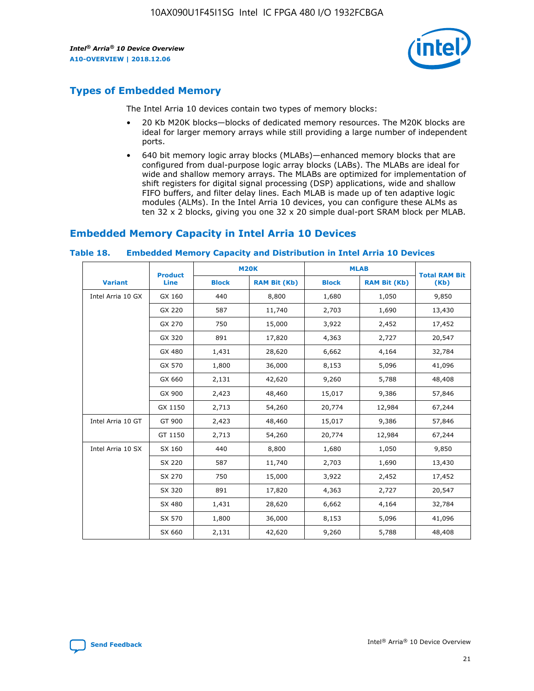

## **Types of Embedded Memory**

The Intel Arria 10 devices contain two types of memory blocks:

- 20 Kb M20K blocks—blocks of dedicated memory resources. The M20K blocks are ideal for larger memory arrays while still providing a large number of independent ports.
- 640 bit memory logic array blocks (MLABs)—enhanced memory blocks that are configured from dual-purpose logic array blocks (LABs). The MLABs are ideal for wide and shallow memory arrays. The MLABs are optimized for implementation of shift registers for digital signal processing (DSP) applications, wide and shallow FIFO buffers, and filter delay lines. Each MLAB is made up of ten adaptive logic modules (ALMs). In the Intel Arria 10 devices, you can configure these ALMs as ten 32 x 2 blocks, giving you one 32 x 20 simple dual-port SRAM block per MLAB.

## **Embedded Memory Capacity in Intel Arria 10 Devices**

|                   | <b>Product</b> |              | <b>M20K</b>         | <b>MLAB</b>  |                     | <b>Total RAM Bit</b> |
|-------------------|----------------|--------------|---------------------|--------------|---------------------|----------------------|
| <b>Variant</b>    | Line           | <b>Block</b> | <b>RAM Bit (Kb)</b> | <b>Block</b> | <b>RAM Bit (Kb)</b> | (Kb)                 |
| Intel Arria 10 GX | GX 160         | 440          | 8,800               | 1,680        | 1,050               | 9,850                |
|                   | GX 220         | 587          | 11,740              | 2,703        | 1,690               | 13,430               |
|                   | GX 270         | 750          | 15,000              | 3,922        | 2,452               | 17,452               |
|                   | GX 320         | 891          | 17,820              | 4,363        | 2,727               | 20,547               |
|                   | GX 480         | 1,431        | 28,620              | 6,662        | 4,164               | 32,784               |
|                   | GX 570         | 1,800        | 36,000              | 8,153        | 5,096               | 41,096               |
|                   | GX 660         | 2,131        | 42,620              | 9,260        | 5,788               | 48,408               |
|                   | GX 900         | 2,423        | 48,460              | 15,017       | 9,386               | 57,846               |
|                   | GX 1150        | 2,713        | 54,260              | 20,774       | 12,984              | 67,244               |
| Intel Arria 10 GT | GT 900         | 2,423        | 48,460              | 15,017       | 9,386               | 57,846               |
|                   | GT 1150        | 2,713        | 54,260              | 20,774       | 12,984              | 67,244               |
| Intel Arria 10 SX | SX 160         | 440          | 8,800               | 1,680        | 1,050               | 9,850                |
|                   | SX 220         | 587          | 11,740              | 2,703        | 1,690               | 13,430               |
|                   | SX 270         | 750          | 15,000              | 3,922        | 2,452               | 17,452               |
|                   | SX 320         | 891          | 17,820              | 4,363        | 2,727               | 20,547               |
|                   | SX 480         | 1,431        | 28,620              | 6,662        | 4,164               | 32,784               |
|                   | SX 570         | 1,800        | 36,000              | 8,153        | 5,096               | 41,096               |
|                   | SX 660         | 2,131        | 42,620              | 9,260        | 5,788               | 48,408               |

#### **Table 18. Embedded Memory Capacity and Distribution in Intel Arria 10 Devices**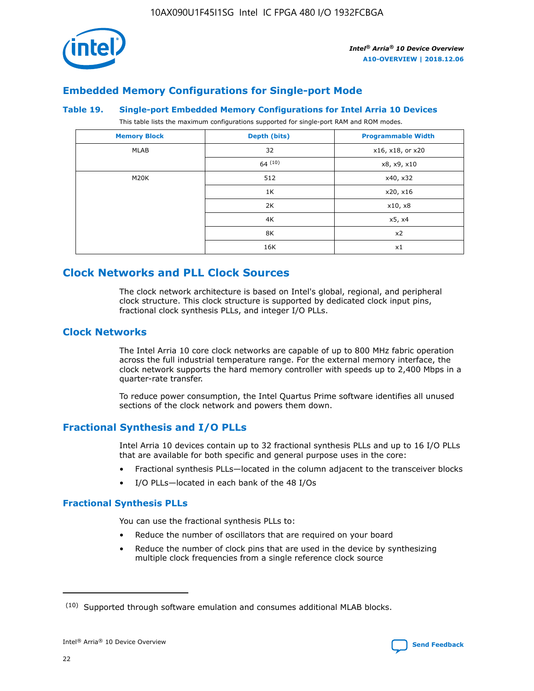

## **Embedded Memory Configurations for Single-port Mode**

#### **Table 19. Single-port Embedded Memory Configurations for Intel Arria 10 Devices**

This table lists the maximum configurations supported for single-port RAM and ROM modes.

| <b>Memory Block</b> | Depth (bits) | <b>Programmable Width</b> |
|---------------------|--------------|---------------------------|
| MLAB                | 32           | x16, x18, or x20          |
|                     | 64(10)       | x8, x9, x10               |
| M20K                | 512          | x40, x32                  |
|                     | 1K           | x20, x16                  |
|                     | 2K           | x10, x8                   |
|                     | 4K           | x5, x4                    |
|                     | 8K           | x2                        |
|                     | 16K          | x1                        |

## **Clock Networks and PLL Clock Sources**

The clock network architecture is based on Intel's global, regional, and peripheral clock structure. This clock structure is supported by dedicated clock input pins, fractional clock synthesis PLLs, and integer I/O PLLs.

## **Clock Networks**

The Intel Arria 10 core clock networks are capable of up to 800 MHz fabric operation across the full industrial temperature range. For the external memory interface, the clock network supports the hard memory controller with speeds up to 2,400 Mbps in a quarter-rate transfer.

To reduce power consumption, the Intel Quartus Prime software identifies all unused sections of the clock network and powers them down.

## **Fractional Synthesis and I/O PLLs**

Intel Arria 10 devices contain up to 32 fractional synthesis PLLs and up to 16 I/O PLLs that are available for both specific and general purpose uses in the core:

- Fractional synthesis PLLs—located in the column adjacent to the transceiver blocks
- I/O PLLs—located in each bank of the 48 I/Os

## **Fractional Synthesis PLLs**

You can use the fractional synthesis PLLs to:

- Reduce the number of oscillators that are required on your board
- Reduce the number of clock pins that are used in the device by synthesizing multiple clock frequencies from a single reference clock source

<sup>(10)</sup> Supported through software emulation and consumes additional MLAB blocks.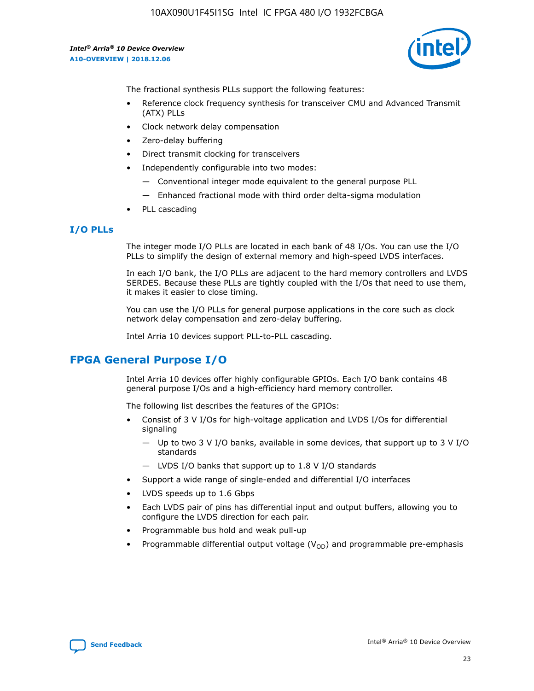

The fractional synthesis PLLs support the following features:

- Reference clock frequency synthesis for transceiver CMU and Advanced Transmit (ATX) PLLs
- Clock network delay compensation
- Zero-delay buffering
- Direct transmit clocking for transceivers
- Independently configurable into two modes:
	- Conventional integer mode equivalent to the general purpose PLL
	- Enhanced fractional mode with third order delta-sigma modulation
- PLL cascading

### **I/O PLLs**

The integer mode I/O PLLs are located in each bank of 48 I/Os. You can use the I/O PLLs to simplify the design of external memory and high-speed LVDS interfaces.

In each I/O bank, the I/O PLLs are adjacent to the hard memory controllers and LVDS SERDES. Because these PLLs are tightly coupled with the I/Os that need to use them, it makes it easier to close timing.

You can use the I/O PLLs for general purpose applications in the core such as clock network delay compensation and zero-delay buffering.

Intel Arria 10 devices support PLL-to-PLL cascading.

## **FPGA General Purpose I/O**

Intel Arria 10 devices offer highly configurable GPIOs. Each I/O bank contains 48 general purpose I/Os and a high-efficiency hard memory controller.

The following list describes the features of the GPIOs:

- Consist of 3 V I/Os for high-voltage application and LVDS I/Os for differential signaling
	- Up to two 3 V I/O banks, available in some devices, that support up to 3 V I/O standards
	- LVDS I/O banks that support up to 1.8 V I/O standards
- Support a wide range of single-ended and differential I/O interfaces
- LVDS speeds up to 1.6 Gbps
- Each LVDS pair of pins has differential input and output buffers, allowing you to configure the LVDS direction for each pair.
- Programmable bus hold and weak pull-up
- Programmable differential output voltage  $(V_{OD})$  and programmable pre-emphasis

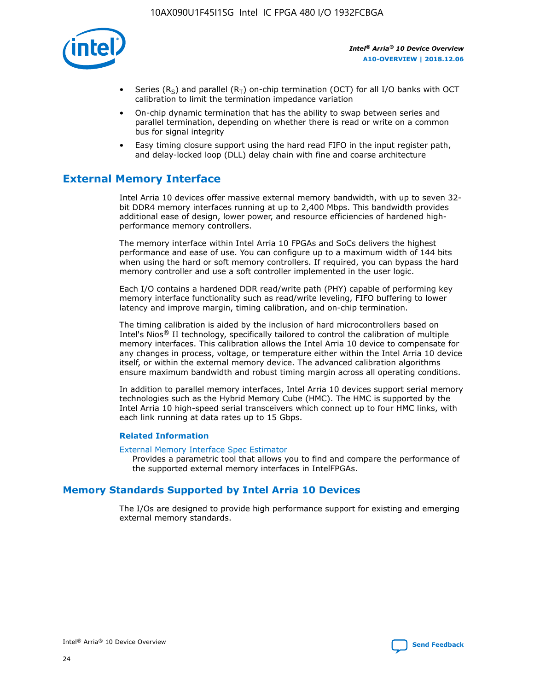

- Series (R<sub>S</sub>) and parallel (R<sub>T</sub>) on-chip termination (OCT) for all I/O banks with OCT calibration to limit the termination impedance variation
- On-chip dynamic termination that has the ability to swap between series and parallel termination, depending on whether there is read or write on a common bus for signal integrity
- Easy timing closure support using the hard read FIFO in the input register path, and delay-locked loop (DLL) delay chain with fine and coarse architecture

## **External Memory Interface**

Intel Arria 10 devices offer massive external memory bandwidth, with up to seven 32 bit DDR4 memory interfaces running at up to 2,400 Mbps. This bandwidth provides additional ease of design, lower power, and resource efficiencies of hardened highperformance memory controllers.

The memory interface within Intel Arria 10 FPGAs and SoCs delivers the highest performance and ease of use. You can configure up to a maximum width of 144 bits when using the hard or soft memory controllers. If required, you can bypass the hard memory controller and use a soft controller implemented in the user logic.

Each I/O contains a hardened DDR read/write path (PHY) capable of performing key memory interface functionality such as read/write leveling, FIFO buffering to lower latency and improve margin, timing calibration, and on-chip termination.

The timing calibration is aided by the inclusion of hard microcontrollers based on Intel's Nios® II technology, specifically tailored to control the calibration of multiple memory interfaces. This calibration allows the Intel Arria 10 device to compensate for any changes in process, voltage, or temperature either within the Intel Arria 10 device itself, or within the external memory device. The advanced calibration algorithms ensure maximum bandwidth and robust timing margin across all operating conditions.

In addition to parallel memory interfaces, Intel Arria 10 devices support serial memory technologies such as the Hybrid Memory Cube (HMC). The HMC is supported by the Intel Arria 10 high-speed serial transceivers which connect up to four HMC links, with each link running at data rates up to 15 Gbps.

### **Related Information**

#### [External Memory Interface Spec Estimator](http://www.altera.com/technology/memory/estimator/mem-emif-index.html)

Provides a parametric tool that allows you to find and compare the performance of the supported external memory interfaces in IntelFPGAs.

## **Memory Standards Supported by Intel Arria 10 Devices**

The I/Os are designed to provide high performance support for existing and emerging external memory standards.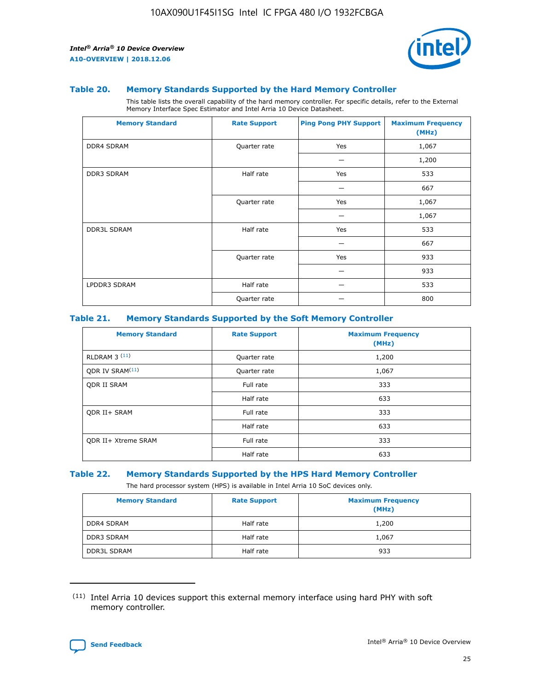

#### **Table 20. Memory Standards Supported by the Hard Memory Controller**

This table lists the overall capability of the hard memory controller. For specific details, refer to the External Memory Interface Spec Estimator and Intel Arria 10 Device Datasheet.

| <b>Memory Standard</b> | <b>Rate Support</b> | <b>Ping Pong PHY Support</b> | <b>Maximum Frequency</b><br>(MHz) |
|------------------------|---------------------|------------------------------|-----------------------------------|
| <b>DDR4 SDRAM</b>      | Quarter rate        | Yes                          | 1,067                             |
|                        |                     |                              | 1,200                             |
| <b>DDR3 SDRAM</b>      | Half rate           | Yes                          | 533                               |
|                        |                     |                              | 667                               |
|                        | Quarter rate        | Yes                          | 1,067                             |
|                        |                     |                              | 1,067                             |
| <b>DDR3L SDRAM</b>     | Half rate           | Yes                          | 533                               |
|                        |                     |                              | 667                               |
|                        | Quarter rate        | Yes                          | 933                               |
|                        |                     |                              | 933                               |
| LPDDR3 SDRAM           | Half rate           |                              | 533                               |
|                        | Quarter rate        |                              | 800                               |

### **Table 21. Memory Standards Supported by the Soft Memory Controller**

| <b>Memory Standard</b>      | <b>Rate Support</b> | <b>Maximum Frequency</b><br>(MHz) |
|-----------------------------|---------------------|-----------------------------------|
| <b>RLDRAM 3 (11)</b>        | Quarter rate        | 1,200                             |
| ODR IV SRAM <sup>(11)</sup> | Quarter rate        | 1,067                             |
| <b>ODR II SRAM</b>          | Full rate           | 333                               |
|                             | Half rate           | 633                               |
| <b>ODR II+ SRAM</b>         | Full rate           | 333                               |
|                             | Half rate           | 633                               |
| <b>ODR II+ Xtreme SRAM</b>  | Full rate           | 333                               |
|                             | Half rate           | 633                               |

#### **Table 22. Memory Standards Supported by the HPS Hard Memory Controller**

The hard processor system (HPS) is available in Intel Arria 10 SoC devices only.

| <b>Memory Standard</b> | <b>Rate Support</b> | <b>Maximum Frequency</b><br>(MHz) |
|------------------------|---------------------|-----------------------------------|
| <b>DDR4 SDRAM</b>      | Half rate           | 1,200                             |
| <b>DDR3 SDRAM</b>      | Half rate           | 1,067                             |
| <b>DDR3L SDRAM</b>     | Half rate           | 933                               |

<sup>(11)</sup> Intel Arria 10 devices support this external memory interface using hard PHY with soft memory controller.

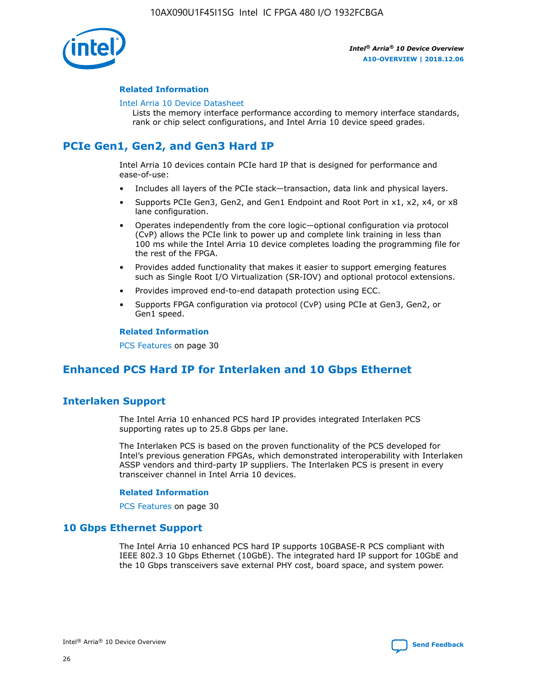

### **Related Information**

#### [Intel Arria 10 Device Datasheet](https://www.intel.com/content/www/us/en/programmable/documentation/mcn1413182292568.html#mcn1413182153340)

Lists the memory interface performance according to memory interface standards, rank or chip select configurations, and Intel Arria 10 device speed grades.

# **PCIe Gen1, Gen2, and Gen3 Hard IP**

Intel Arria 10 devices contain PCIe hard IP that is designed for performance and ease-of-use:

- Includes all layers of the PCIe stack—transaction, data link and physical layers.
- Supports PCIe Gen3, Gen2, and Gen1 Endpoint and Root Port in x1, x2, x4, or x8 lane configuration.
- Operates independently from the core logic—optional configuration via protocol (CvP) allows the PCIe link to power up and complete link training in less than 100 ms while the Intel Arria 10 device completes loading the programming file for the rest of the FPGA.
- Provides added functionality that makes it easier to support emerging features such as Single Root I/O Virtualization (SR-IOV) and optional protocol extensions.
- Provides improved end-to-end datapath protection using ECC.
- Supports FPGA configuration via protocol (CvP) using PCIe at Gen3, Gen2, or Gen1 speed.

#### **Related Information**

PCS Features on page 30

## **Enhanced PCS Hard IP for Interlaken and 10 Gbps Ethernet**

## **Interlaken Support**

The Intel Arria 10 enhanced PCS hard IP provides integrated Interlaken PCS supporting rates up to 25.8 Gbps per lane.

The Interlaken PCS is based on the proven functionality of the PCS developed for Intel's previous generation FPGAs, which demonstrated interoperability with Interlaken ASSP vendors and third-party IP suppliers. The Interlaken PCS is present in every transceiver channel in Intel Arria 10 devices.

### **Related Information**

PCS Features on page 30

## **10 Gbps Ethernet Support**

The Intel Arria 10 enhanced PCS hard IP supports 10GBASE-R PCS compliant with IEEE 802.3 10 Gbps Ethernet (10GbE). The integrated hard IP support for 10GbE and the 10 Gbps transceivers save external PHY cost, board space, and system power.

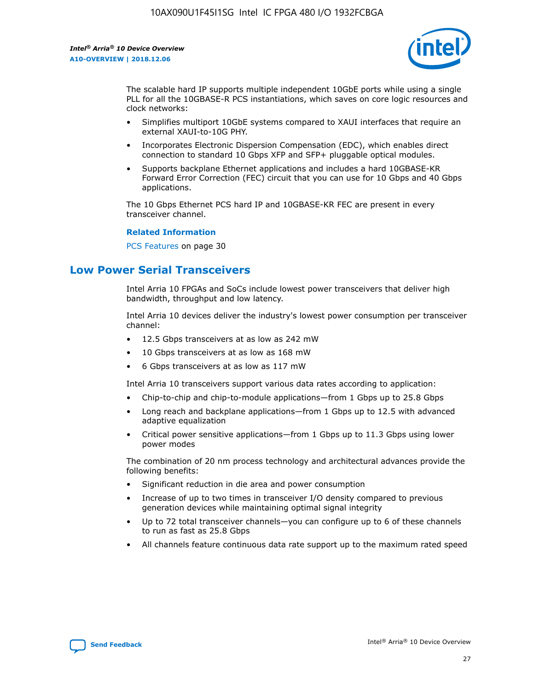

The scalable hard IP supports multiple independent 10GbE ports while using a single PLL for all the 10GBASE-R PCS instantiations, which saves on core logic resources and clock networks:

- Simplifies multiport 10GbE systems compared to XAUI interfaces that require an external XAUI-to-10G PHY.
- Incorporates Electronic Dispersion Compensation (EDC), which enables direct connection to standard 10 Gbps XFP and SFP+ pluggable optical modules.
- Supports backplane Ethernet applications and includes a hard 10GBASE-KR Forward Error Correction (FEC) circuit that you can use for 10 Gbps and 40 Gbps applications.

The 10 Gbps Ethernet PCS hard IP and 10GBASE-KR FEC are present in every transceiver channel.

#### **Related Information**

PCS Features on page 30

## **Low Power Serial Transceivers**

Intel Arria 10 FPGAs and SoCs include lowest power transceivers that deliver high bandwidth, throughput and low latency.

Intel Arria 10 devices deliver the industry's lowest power consumption per transceiver channel:

- 12.5 Gbps transceivers at as low as 242 mW
- 10 Gbps transceivers at as low as 168 mW
- 6 Gbps transceivers at as low as 117 mW

Intel Arria 10 transceivers support various data rates according to application:

- Chip-to-chip and chip-to-module applications—from 1 Gbps up to 25.8 Gbps
- Long reach and backplane applications—from 1 Gbps up to 12.5 with advanced adaptive equalization
- Critical power sensitive applications—from 1 Gbps up to 11.3 Gbps using lower power modes

The combination of 20 nm process technology and architectural advances provide the following benefits:

- Significant reduction in die area and power consumption
- Increase of up to two times in transceiver I/O density compared to previous generation devices while maintaining optimal signal integrity
- Up to 72 total transceiver channels—you can configure up to 6 of these channels to run as fast as 25.8 Gbps
- All channels feature continuous data rate support up to the maximum rated speed

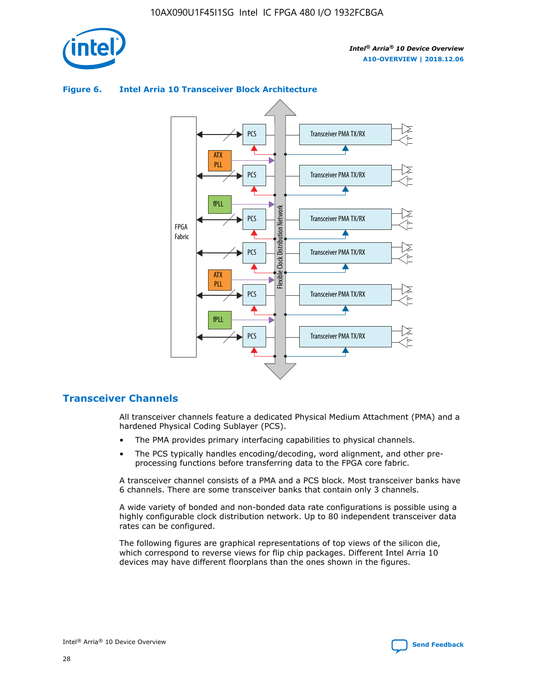

### Transceiver PMA TX/RX PCS ATX PLL Transceiver PMA TX/RX PCS fPLL Network Flexible Clock Distribution Network PCS Transceiver PMA TX/RX FPGA **Clock Distribution** Fabric PCS Transceiver PMA TX/RX ATX Flexible PLL PCS Transceiver PMA TX/RX ▲ fPLL Transceiver PMA TX/RX PCS 4

## **Figure 6. Intel Arria 10 Transceiver Block Architecture**

## **Transceiver Channels**

All transceiver channels feature a dedicated Physical Medium Attachment (PMA) and a hardened Physical Coding Sublayer (PCS).

- The PMA provides primary interfacing capabilities to physical channels.
- The PCS typically handles encoding/decoding, word alignment, and other preprocessing functions before transferring data to the FPGA core fabric.

A transceiver channel consists of a PMA and a PCS block. Most transceiver banks have 6 channels. There are some transceiver banks that contain only 3 channels.

A wide variety of bonded and non-bonded data rate configurations is possible using a highly configurable clock distribution network. Up to 80 independent transceiver data rates can be configured.

The following figures are graphical representations of top views of the silicon die, which correspond to reverse views for flip chip packages. Different Intel Arria 10 devices may have different floorplans than the ones shown in the figures.

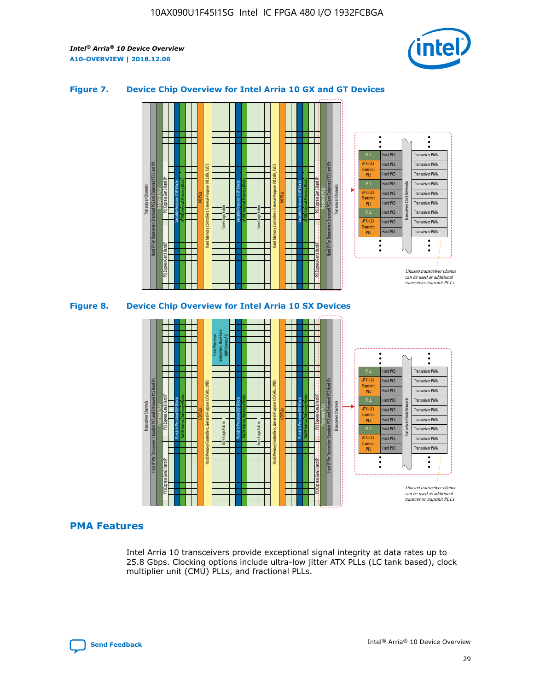

## **Figure 7. Device Chip Overview for Intel Arria 10 GX and GT Devices**



M20K Internal Memory Blocks Core Logic Fabric Transceiver Channels Hard IP Per Transceiver: Standard PCS and Enhanced PCS Hard IPs PCI Express Gen3 Hard IP Fractional PLLs M20K Internal Memory Blocks PCI Express Gen3 Hard IP Variable Precision DSP Blocks I/O PLLs Hard Memory Controllers, General-Purpose I/O Cells, LVDS Hard Processor Subsystem, Dual-Core ARM Cortex A9 M20K Internal Memory Blocks Variable Precision DSP Blocks M20K Internal Memory Blocks Core Logic Fabric I/O PLLs Hard Memory Controllers, General-Purpose I/O Cells, LVDS M20K Internal Memory Blocks Variable Precision DSP Blocks M20K Internal Memory Blocks Transceiver Channels Hard IP Per Transceiver: Standard PCS and Enhanced PCS Hard IPs PCI Express Gen3 Hard IP Fractional PLLs PCI Express Gen3 Hard IP  $\ddot{\cdot}$ Hard PCS Transceiver PMA fPLL ATX (LC) Hard PCS Transceiver PMA **Transmit** Hard PCS Transceiver PMA PLL fPLL Hard PCS Transceiver PMA Transceiver Clock Networks ATX (LC) Hard PCS Transceiver PMA Transmi Hard PCS Transceiver PMA PLL fPLL Hard PCS Transceiver PMA Transceiver PMA Hard PCS ATX (LC) **Transmit** Hard PCS Transceiver PMA PLL Unused transceiver chann can be used as additional transceiver transmit PLLs

## **PMA Features**

Intel Arria 10 transceivers provide exceptional signal integrity at data rates up to 25.8 Gbps. Clocking options include ultra-low jitter ATX PLLs (LC tank based), clock multiplier unit (CMU) PLLs, and fractional PLLs.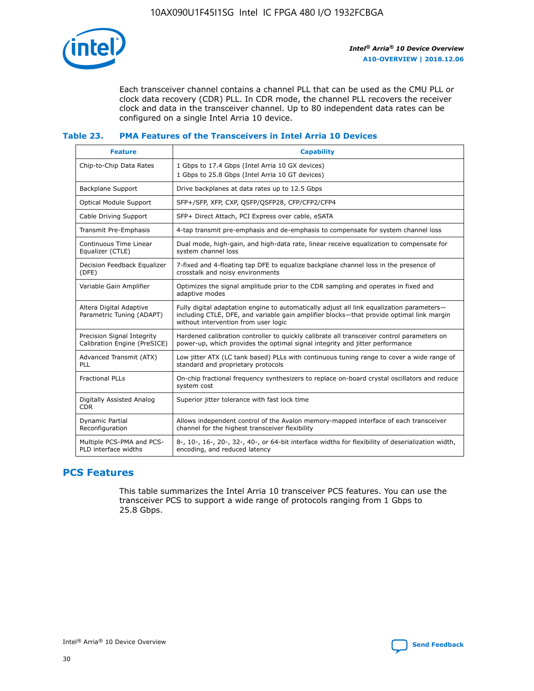

Each transceiver channel contains a channel PLL that can be used as the CMU PLL or clock data recovery (CDR) PLL. In CDR mode, the channel PLL recovers the receiver clock and data in the transceiver channel. Up to 80 independent data rates can be configured on a single Intel Arria 10 device.

## **Table 23. PMA Features of the Transceivers in Intel Arria 10 Devices**

| <b>Feature</b>                                             | <b>Capability</b>                                                                                                                                                                                                             |
|------------------------------------------------------------|-------------------------------------------------------------------------------------------------------------------------------------------------------------------------------------------------------------------------------|
| Chip-to-Chip Data Rates                                    | 1 Gbps to 17.4 Gbps (Intel Arria 10 GX devices)<br>1 Gbps to 25.8 Gbps (Intel Arria 10 GT devices)                                                                                                                            |
| Backplane Support                                          | Drive backplanes at data rates up to 12.5 Gbps                                                                                                                                                                                |
| <b>Optical Module Support</b>                              | SFP+/SFP, XFP, CXP, QSFP/QSFP28, CFP/CFP2/CFP4                                                                                                                                                                                |
| Cable Driving Support                                      | SFP+ Direct Attach, PCI Express over cable, eSATA                                                                                                                                                                             |
| Transmit Pre-Emphasis                                      | 4-tap transmit pre-emphasis and de-emphasis to compensate for system channel loss                                                                                                                                             |
| Continuous Time Linear<br>Equalizer (CTLE)                 | Dual mode, high-gain, and high-data rate, linear receive equalization to compensate for<br>system channel loss                                                                                                                |
| Decision Feedback Equalizer<br>(DFE)                       | 7-fixed and 4-floating tap DFE to equalize backplane channel loss in the presence of<br>crosstalk and noisy environments                                                                                                      |
| Variable Gain Amplifier                                    | Optimizes the signal amplitude prior to the CDR sampling and operates in fixed and<br>adaptive modes                                                                                                                          |
| Altera Digital Adaptive<br>Parametric Tuning (ADAPT)       | Fully digital adaptation engine to automatically adjust all link equalization parameters-<br>including CTLE, DFE, and variable gain amplifier blocks—that provide optimal link margin<br>without intervention from user logic |
| Precision Signal Integrity<br>Calibration Engine (PreSICE) | Hardened calibration controller to quickly calibrate all transceiver control parameters on<br>power-up, which provides the optimal signal integrity and jitter performance                                                    |
| Advanced Transmit (ATX)<br><b>PLL</b>                      | Low jitter ATX (LC tank based) PLLs with continuous tuning range to cover a wide range of<br>standard and proprietary protocols                                                                                               |
| <b>Fractional PLLs</b>                                     | On-chip fractional frequency synthesizers to replace on-board crystal oscillators and reduce<br>system cost                                                                                                                   |
| Digitally Assisted Analog<br><b>CDR</b>                    | Superior jitter tolerance with fast lock time                                                                                                                                                                                 |
| Dynamic Partial<br>Reconfiguration                         | Allows independent control of the Avalon memory-mapped interface of each transceiver<br>channel for the highest transceiver flexibility                                                                                       |
| Multiple PCS-PMA and PCS-<br>PLD interface widths          | 8-, 10-, 16-, 20-, 32-, 40-, or 64-bit interface widths for flexibility of deserialization width,<br>encoding, and reduced latency                                                                                            |

## **PCS Features**

This table summarizes the Intel Arria 10 transceiver PCS features. You can use the transceiver PCS to support a wide range of protocols ranging from 1 Gbps to 25.8 Gbps.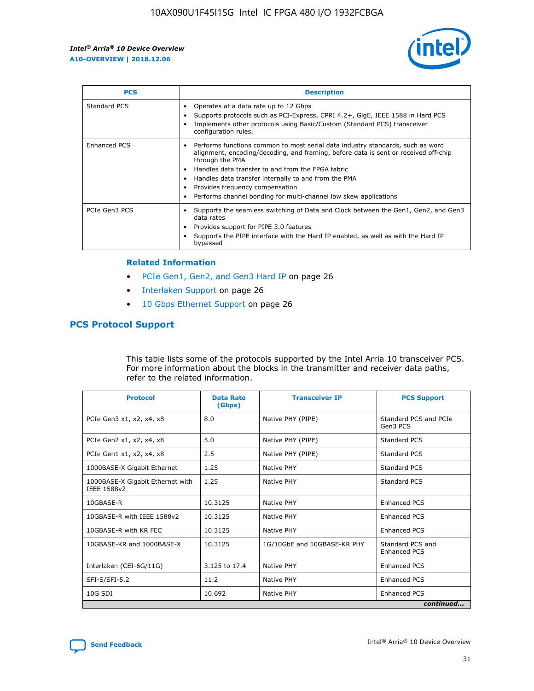

| <b>PCS</b>    | <b>Description</b>                                                                                                                                                                                                                                                                                                                                                                                             |
|---------------|----------------------------------------------------------------------------------------------------------------------------------------------------------------------------------------------------------------------------------------------------------------------------------------------------------------------------------------------------------------------------------------------------------------|
| Standard PCS  | Operates at a data rate up to 12 Gbps<br>Supports protocols such as PCI-Express, CPRI 4.2+, GigE, IEEE 1588 in Hard PCS<br>Implements other protocols using Basic/Custom (Standard PCS) transceiver<br>configuration rules.                                                                                                                                                                                    |
| Enhanced PCS  | Performs functions common to most serial data industry standards, such as word<br>alignment, encoding/decoding, and framing, before data is sent or received off-chip<br>through the PMA<br>• Handles data transfer to and from the FPGA fabric<br>Handles data transfer internally to and from the PMA<br>Provides frequency compensation<br>Performs channel bonding for multi-channel low skew applications |
| PCIe Gen3 PCS | Supports the seamless switching of Data and Clock between the Gen1, Gen2, and Gen3<br>data rates<br>Provides support for PIPE 3.0 features<br>Supports the PIPE interface with the Hard IP enabled, as well as with the Hard IP<br>bypassed                                                                                                                                                                    |

#### **Related Information**

- PCIe Gen1, Gen2, and Gen3 Hard IP on page 26
- Interlaken Support on page 26
- 10 Gbps Ethernet Support on page 26

## **PCS Protocol Support**

This table lists some of the protocols supported by the Intel Arria 10 transceiver PCS. For more information about the blocks in the transmitter and receiver data paths, refer to the related information.

| <b>Protocol</b>                                 | <b>Data Rate</b><br>(Gbps) | <b>Transceiver IP</b>       | <b>PCS Support</b>                      |
|-------------------------------------------------|----------------------------|-----------------------------|-----------------------------------------|
| PCIe Gen3 x1, x2, x4, x8                        | 8.0                        | Native PHY (PIPE)           | Standard PCS and PCIe<br>Gen3 PCS       |
| PCIe Gen2 x1, x2, x4, x8                        | 5.0                        | Native PHY (PIPE)           | <b>Standard PCS</b>                     |
| PCIe Gen1 x1, x2, x4, x8                        | 2.5                        | Native PHY (PIPE)           | Standard PCS                            |
| 1000BASE-X Gigabit Ethernet                     | 1.25                       | Native PHY                  | <b>Standard PCS</b>                     |
| 1000BASE-X Gigabit Ethernet with<br>IEEE 1588v2 | 1.25                       | Native PHY                  | Standard PCS                            |
| 10GBASE-R                                       | 10.3125                    | Native PHY                  | <b>Enhanced PCS</b>                     |
| 10GBASE-R with IEEE 1588v2                      | 10.3125                    | Native PHY                  | <b>Enhanced PCS</b>                     |
| 10GBASE-R with KR FEC                           | 10.3125                    | Native PHY                  | <b>Enhanced PCS</b>                     |
| 10GBASE-KR and 1000BASE-X                       | 10.3125                    | 1G/10GbE and 10GBASE-KR PHY | Standard PCS and<br><b>Enhanced PCS</b> |
| Interlaken (CEI-6G/11G)                         | 3.125 to 17.4              | Native PHY                  | <b>Enhanced PCS</b>                     |
| SFI-S/SFI-5.2                                   | 11.2                       | Native PHY                  | <b>Enhanced PCS</b>                     |
| $10G$ SDI                                       | 10.692                     | Native PHY                  | <b>Enhanced PCS</b>                     |
|                                                 |                            |                             | continued                               |

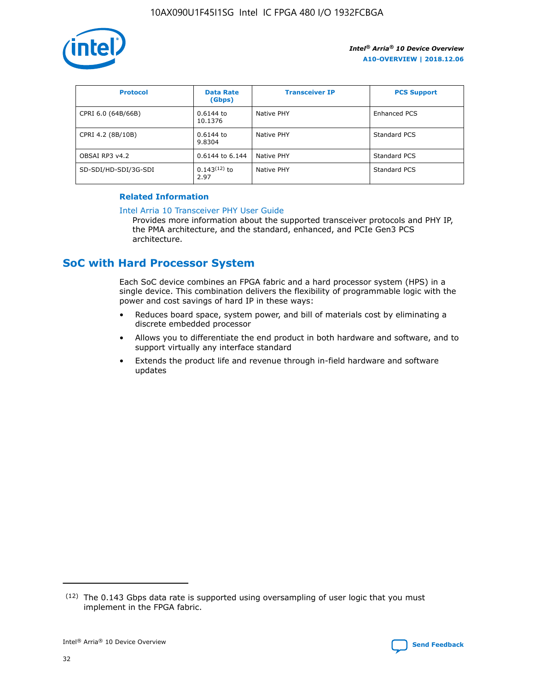

| <b>Protocol</b>      | <b>Data Rate</b><br>(Gbps) | <b>Transceiver IP</b> | <b>PCS Support</b> |
|----------------------|----------------------------|-----------------------|--------------------|
| CPRI 6.0 (64B/66B)   | 0.6144 to<br>10.1376       | Native PHY            | Enhanced PCS       |
| CPRI 4.2 (8B/10B)    | 0.6144 to<br>9.8304        | Native PHY            | Standard PCS       |
| OBSAI RP3 v4.2       | 0.6144 to 6.144            | Native PHY            | Standard PCS       |
| SD-SDI/HD-SDI/3G-SDI | $0.143(12)$ to<br>2.97     | Native PHY            | Standard PCS       |

## **Related Information**

#### [Intel Arria 10 Transceiver PHY User Guide](https://www.intel.com/content/www/us/en/programmable/documentation/nik1398707230472.html#nik1398707091164)

Provides more information about the supported transceiver protocols and PHY IP, the PMA architecture, and the standard, enhanced, and PCIe Gen3 PCS architecture.

## **SoC with Hard Processor System**

Each SoC device combines an FPGA fabric and a hard processor system (HPS) in a single device. This combination delivers the flexibility of programmable logic with the power and cost savings of hard IP in these ways:

- Reduces board space, system power, and bill of materials cost by eliminating a discrete embedded processor
- Allows you to differentiate the end product in both hardware and software, and to support virtually any interface standard
- Extends the product life and revenue through in-field hardware and software updates

 $(12)$  The 0.143 Gbps data rate is supported using oversampling of user logic that you must implement in the FPGA fabric.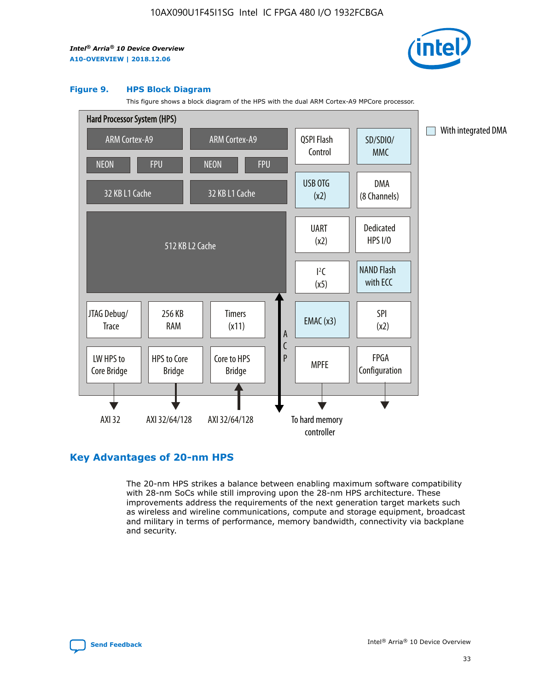

#### **Figure 9. HPS Block Diagram**

This figure shows a block diagram of the HPS with the dual ARM Cortex-A9 MPCore processor.



## **Key Advantages of 20-nm HPS**

The 20-nm HPS strikes a balance between enabling maximum software compatibility with 28-nm SoCs while still improving upon the 28-nm HPS architecture. These improvements address the requirements of the next generation target markets such as wireless and wireline communications, compute and storage equipment, broadcast and military in terms of performance, memory bandwidth, connectivity via backplane and security.

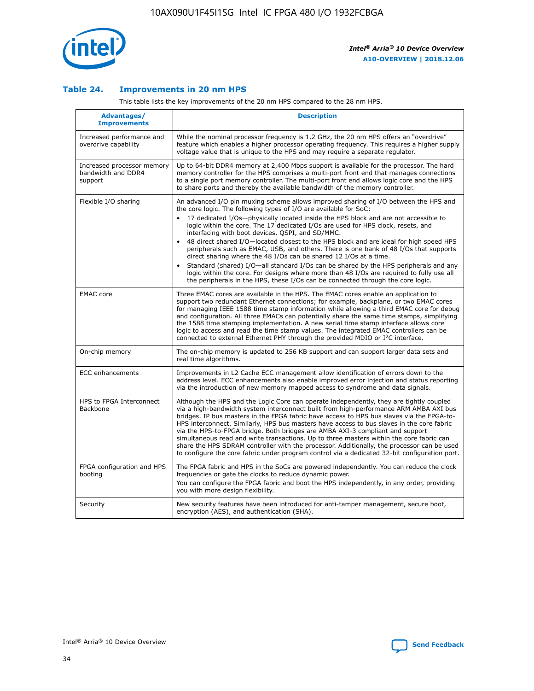

## **Table 24. Improvements in 20 nm HPS**

This table lists the key improvements of the 20 nm HPS compared to the 28 nm HPS.

| Advantages/<br><b>Improvements</b>                          | <b>Description</b>                                                                                                                                                                                                                                                                                                                                                                                                                                                                                                                                                                                                                                                                                                                                                                                                                                                                                                      |
|-------------------------------------------------------------|-------------------------------------------------------------------------------------------------------------------------------------------------------------------------------------------------------------------------------------------------------------------------------------------------------------------------------------------------------------------------------------------------------------------------------------------------------------------------------------------------------------------------------------------------------------------------------------------------------------------------------------------------------------------------------------------------------------------------------------------------------------------------------------------------------------------------------------------------------------------------------------------------------------------------|
| Increased performance and<br>overdrive capability           | While the nominal processor frequency is 1.2 GHz, the 20 nm HPS offers an "overdrive"<br>feature which enables a higher processor operating frequency. This requires a higher supply<br>voltage value that is unique to the HPS and may require a separate regulator.                                                                                                                                                                                                                                                                                                                                                                                                                                                                                                                                                                                                                                                   |
| Increased processor memory<br>bandwidth and DDR4<br>support | Up to 64-bit DDR4 memory at 2,400 Mbps support is available for the processor. The hard<br>memory controller for the HPS comprises a multi-port front end that manages connections<br>to a single port memory controller. The multi-port front end allows logic core and the HPS<br>to share ports and thereby the available bandwidth of the memory controller.                                                                                                                                                                                                                                                                                                                                                                                                                                                                                                                                                        |
| Flexible I/O sharing                                        | An advanced I/O pin muxing scheme allows improved sharing of I/O between the HPS and<br>the core logic. The following types of I/O are available for SoC:<br>17 dedicated I/Os-physically located inside the HPS block and are not accessible to<br>logic within the core. The 17 dedicated I/Os are used for HPS clock, resets, and<br>interfacing with boot devices, QSPI, and SD/MMC.<br>48 direct shared I/O-located closest to the HPS block and are ideal for high speed HPS<br>peripherals such as EMAC, USB, and others. There is one bank of 48 I/Os that supports<br>direct sharing where the 48 I/Os can be shared 12 I/Os at a time.<br>Standard (shared) I/O—all standard I/Os can be shared by the HPS peripherals and any<br>logic within the core. For designs where more than 48 I/Os are required to fully use all<br>the peripherals in the HPS, these I/Os can be connected through the core logic. |
| <b>EMAC</b> core                                            | Three EMAC cores are available in the HPS. The EMAC cores enable an application to<br>support two redundant Ethernet connections; for example, backplane, or two EMAC cores<br>for managing IEEE 1588 time stamp information while allowing a third EMAC core for debug<br>and configuration. All three EMACs can potentially share the same time stamps, simplifying<br>the 1588 time stamping implementation. A new serial time stamp interface allows core<br>logic to access and read the time stamp values. The integrated EMAC controllers can be<br>connected to external Ethernet PHY through the provided MDIO or I <sup>2</sup> C interface.                                                                                                                                                                                                                                                                  |
| On-chip memory                                              | The on-chip memory is updated to 256 KB support and can support larger data sets and<br>real time algorithms.                                                                                                                                                                                                                                                                                                                                                                                                                                                                                                                                                                                                                                                                                                                                                                                                           |
| <b>ECC</b> enhancements                                     | Improvements in L2 Cache ECC management allow identification of errors down to the<br>address level. ECC enhancements also enable improved error injection and status reporting<br>via the introduction of new memory mapped access to syndrome and data signals.                                                                                                                                                                                                                                                                                                                                                                                                                                                                                                                                                                                                                                                       |
| HPS to FPGA Interconnect<br><b>Backbone</b>                 | Although the HPS and the Logic Core can operate independently, they are tightly coupled<br>via a high-bandwidth system interconnect built from high-performance ARM AMBA AXI bus<br>bridges. IP bus masters in the FPGA fabric have access to HPS bus slaves via the FPGA-to-<br>HPS interconnect. Similarly, HPS bus masters have access to bus slaves in the core fabric<br>via the HPS-to-FPGA bridge. Both bridges are AMBA AXI-3 compliant and support<br>simultaneous read and write transactions. Up to three masters within the core fabric can<br>share the HPS SDRAM controller with the processor. Additionally, the processor can be used<br>to configure the core fabric under program control via a dedicated 32-bit configuration port.                                                                                                                                                                  |
| FPGA configuration and HPS<br>booting                       | The FPGA fabric and HPS in the SoCs are powered independently. You can reduce the clock<br>frequencies or gate the clocks to reduce dynamic power.<br>You can configure the FPGA fabric and boot the HPS independently, in any order, providing<br>you with more design flexibility.                                                                                                                                                                                                                                                                                                                                                                                                                                                                                                                                                                                                                                    |
| Security                                                    | New security features have been introduced for anti-tamper management, secure boot,<br>encryption (AES), and authentication (SHA).                                                                                                                                                                                                                                                                                                                                                                                                                                                                                                                                                                                                                                                                                                                                                                                      |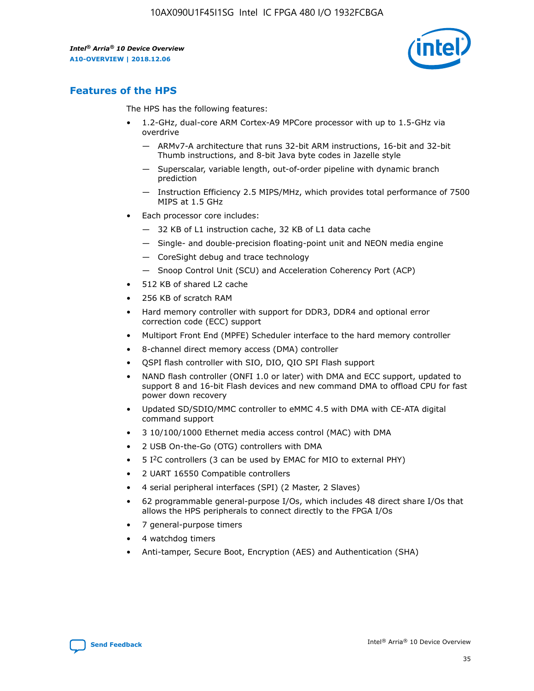

## **Features of the HPS**

The HPS has the following features:

- 1.2-GHz, dual-core ARM Cortex-A9 MPCore processor with up to 1.5-GHz via overdrive
	- ARMv7-A architecture that runs 32-bit ARM instructions, 16-bit and 32-bit Thumb instructions, and 8-bit Java byte codes in Jazelle style
	- Superscalar, variable length, out-of-order pipeline with dynamic branch prediction
	- Instruction Efficiency 2.5 MIPS/MHz, which provides total performance of 7500 MIPS at 1.5 GHz
- Each processor core includes:
	- 32 KB of L1 instruction cache, 32 KB of L1 data cache
	- Single- and double-precision floating-point unit and NEON media engine
	- CoreSight debug and trace technology
	- Snoop Control Unit (SCU) and Acceleration Coherency Port (ACP)
- 512 KB of shared L2 cache
- 256 KB of scratch RAM
- Hard memory controller with support for DDR3, DDR4 and optional error correction code (ECC) support
- Multiport Front End (MPFE) Scheduler interface to the hard memory controller
- 8-channel direct memory access (DMA) controller
- QSPI flash controller with SIO, DIO, QIO SPI Flash support
- NAND flash controller (ONFI 1.0 or later) with DMA and ECC support, updated to support 8 and 16-bit Flash devices and new command DMA to offload CPU for fast power down recovery
- Updated SD/SDIO/MMC controller to eMMC 4.5 with DMA with CE-ATA digital command support
- 3 10/100/1000 Ethernet media access control (MAC) with DMA
- 2 USB On-the-Go (OTG) controllers with DMA
- $\bullet$  5 I<sup>2</sup>C controllers (3 can be used by EMAC for MIO to external PHY)
- 2 UART 16550 Compatible controllers
- 4 serial peripheral interfaces (SPI) (2 Master, 2 Slaves)
- 62 programmable general-purpose I/Os, which includes 48 direct share I/Os that allows the HPS peripherals to connect directly to the FPGA I/Os
- 7 general-purpose timers
- 4 watchdog timers
- Anti-tamper, Secure Boot, Encryption (AES) and Authentication (SHA)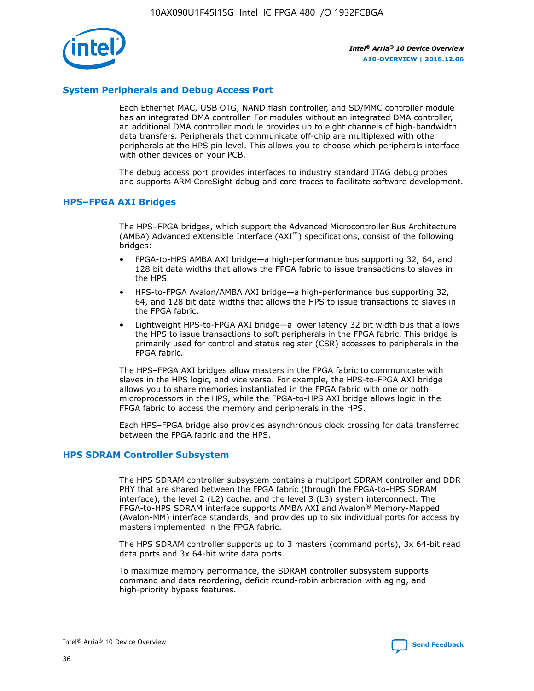

## **System Peripherals and Debug Access Port**

Each Ethernet MAC, USB OTG, NAND flash controller, and SD/MMC controller module has an integrated DMA controller. For modules without an integrated DMA controller, an additional DMA controller module provides up to eight channels of high-bandwidth data transfers. Peripherals that communicate off-chip are multiplexed with other peripherals at the HPS pin level. This allows you to choose which peripherals interface with other devices on your PCB.

The debug access port provides interfaces to industry standard JTAG debug probes and supports ARM CoreSight debug and core traces to facilitate software development.

## **HPS–FPGA AXI Bridges**

The HPS–FPGA bridges, which support the Advanced Microcontroller Bus Architecture (AMBA) Advanced eXtensible Interface (AXI™) specifications, consist of the following bridges:

- FPGA-to-HPS AMBA AXI bridge—a high-performance bus supporting 32, 64, and 128 bit data widths that allows the FPGA fabric to issue transactions to slaves in the HPS.
- HPS-to-FPGA Avalon/AMBA AXI bridge—a high-performance bus supporting 32, 64, and 128 bit data widths that allows the HPS to issue transactions to slaves in the FPGA fabric.
- Lightweight HPS-to-FPGA AXI bridge—a lower latency 32 bit width bus that allows the HPS to issue transactions to soft peripherals in the FPGA fabric. This bridge is primarily used for control and status register (CSR) accesses to peripherals in the FPGA fabric.

The HPS–FPGA AXI bridges allow masters in the FPGA fabric to communicate with slaves in the HPS logic, and vice versa. For example, the HPS-to-FPGA AXI bridge allows you to share memories instantiated in the FPGA fabric with one or both microprocessors in the HPS, while the FPGA-to-HPS AXI bridge allows logic in the FPGA fabric to access the memory and peripherals in the HPS.

Each HPS–FPGA bridge also provides asynchronous clock crossing for data transferred between the FPGA fabric and the HPS.

### **HPS SDRAM Controller Subsystem**

The HPS SDRAM controller subsystem contains a multiport SDRAM controller and DDR PHY that are shared between the FPGA fabric (through the FPGA-to-HPS SDRAM interface), the level 2 (L2) cache, and the level 3 (L3) system interconnect. The FPGA-to-HPS SDRAM interface supports AMBA AXI and Avalon® Memory-Mapped (Avalon-MM) interface standards, and provides up to six individual ports for access by masters implemented in the FPGA fabric.

The HPS SDRAM controller supports up to 3 masters (command ports), 3x 64-bit read data ports and 3x 64-bit write data ports.

To maximize memory performance, the SDRAM controller subsystem supports command and data reordering, deficit round-robin arbitration with aging, and high-priority bypass features.

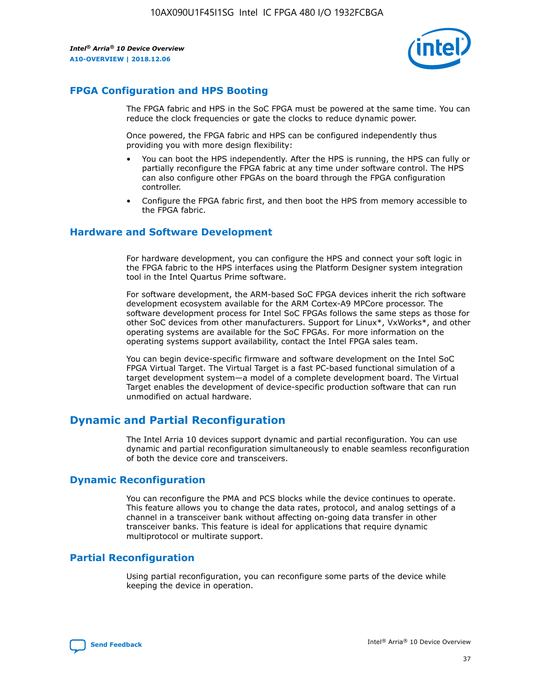

## **FPGA Configuration and HPS Booting**

The FPGA fabric and HPS in the SoC FPGA must be powered at the same time. You can reduce the clock frequencies or gate the clocks to reduce dynamic power.

Once powered, the FPGA fabric and HPS can be configured independently thus providing you with more design flexibility:

- You can boot the HPS independently. After the HPS is running, the HPS can fully or partially reconfigure the FPGA fabric at any time under software control. The HPS can also configure other FPGAs on the board through the FPGA configuration controller.
- Configure the FPGA fabric first, and then boot the HPS from memory accessible to the FPGA fabric.

## **Hardware and Software Development**

For hardware development, you can configure the HPS and connect your soft logic in the FPGA fabric to the HPS interfaces using the Platform Designer system integration tool in the Intel Quartus Prime software.

For software development, the ARM-based SoC FPGA devices inherit the rich software development ecosystem available for the ARM Cortex-A9 MPCore processor. The software development process for Intel SoC FPGAs follows the same steps as those for other SoC devices from other manufacturers. Support for Linux\*, VxWorks\*, and other operating systems are available for the SoC FPGAs. For more information on the operating systems support availability, contact the Intel FPGA sales team.

You can begin device-specific firmware and software development on the Intel SoC FPGA Virtual Target. The Virtual Target is a fast PC-based functional simulation of a target development system—a model of a complete development board. The Virtual Target enables the development of device-specific production software that can run unmodified on actual hardware.

## **Dynamic and Partial Reconfiguration**

The Intel Arria 10 devices support dynamic and partial reconfiguration. You can use dynamic and partial reconfiguration simultaneously to enable seamless reconfiguration of both the device core and transceivers.

## **Dynamic Reconfiguration**

You can reconfigure the PMA and PCS blocks while the device continues to operate. This feature allows you to change the data rates, protocol, and analog settings of a channel in a transceiver bank without affecting on-going data transfer in other transceiver banks. This feature is ideal for applications that require dynamic multiprotocol or multirate support.

## **Partial Reconfiguration**

Using partial reconfiguration, you can reconfigure some parts of the device while keeping the device in operation.

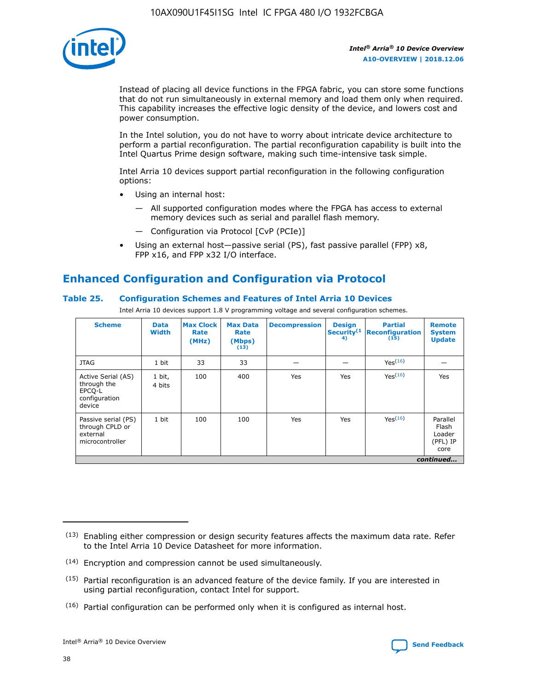

Instead of placing all device functions in the FPGA fabric, you can store some functions that do not run simultaneously in external memory and load them only when required. This capability increases the effective logic density of the device, and lowers cost and power consumption.

In the Intel solution, you do not have to worry about intricate device architecture to perform a partial reconfiguration. The partial reconfiguration capability is built into the Intel Quartus Prime design software, making such time-intensive task simple.

Intel Arria 10 devices support partial reconfiguration in the following configuration options:

- Using an internal host:
	- All supported configuration modes where the FPGA has access to external memory devices such as serial and parallel flash memory.
	- Configuration via Protocol [CvP (PCIe)]
- Using an external host—passive serial (PS), fast passive parallel (FPP) x8, FPP x16, and FPP x32 I/O interface.

# **Enhanced Configuration and Configuration via Protocol**

## **Table 25. Configuration Schemes and Features of Intel Arria 10 Devices**

Intel Arria 10 devices support 1.8 V programming voltage and several configuration schemes.

| <b>Scheme</b>                                                          | <b>Data</b><br><b>Width</b> | <b>Max Clock</b><br>Rate<br>(MHz) | <b>Max Data</b><br>Rate<br>(Mbps)<br>(13) | <b>Decompression</b> | <b>Design</b><br>Security <sup>(1</sup><br>4) | <b>Partial</b><br><b>Reconfiguration</b><br>(15) | <b>Remote</b><br><b>System</b><br><b>Update</b> |
|------------------------------------------------------------------------|-----------------------------|-----------------------------------|-------------------------------------------|----------------------|-----------------------------------------------|--------------------------------------------------|-------------------------------------------------|
| <b>JTAG</b>                                                            | 1 bit                       | 33                                | 33                                        |                      |                                               | Yes(16)                                          |                                                 |
| Active Serial (AS)<br>through the<br>EPCO-L<br>configuration<br>device | 1 bit,<br>4 bits            | 100                               | 400                                       | Yes                  | Yes                                           | $Y_{PS}(16)$                                     | Yes                                             |
| Passive serial (PS)<br>through CPLD or<br>external<br>microcontroller  | 1 bit                       | 100                               | 100                                       | Yes                  | Yes                                           | Yes(16)                                          | Parallel<br>Flash<br>Loader<br>(PFL) IP<br>core |
|                                                                        |                             |                                   |                                           |                      |                                               |                                                  | continued                                       |

<sup>(13)</sup> Enabling either compression or design security features affects the maximum data rate. Refer to the Intel Arria 10 Device Datasheet for more information.

<sup>(14)</sup> Encryption and compression cannot be used simultaneously.

 $<sup>(15)</sup>$  Partial reconfiguration is an advanced feature of the device family. If you are interested in</sup> using partial reconfiguration, contact Intel for support.

 $(16)$  Partial configuration can be performed only when it is configured as internal host.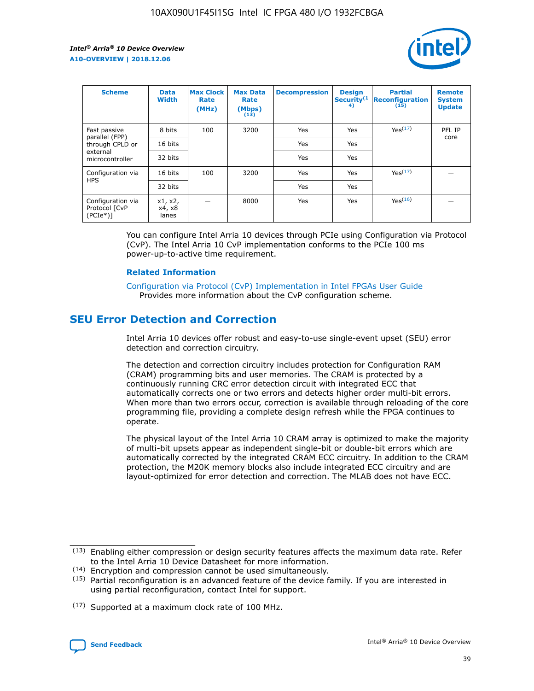

| <b>Scheme</b>                                   | <b>Data</b><br><b>Width</b> | <b>Max Clock</b><br>Rate<br>(MHz) | <b>Max Data</b><br>Rate<br>(Mbps)<br>(13) | <b>Decompression</b> | <b>Design</b><br>Security <sup>(1</sup><br>4) | <b>Partial</b><br><b>Reconfiguration</b><br>(15) | <b>Remote</b><br><b>System</b><br><b>Update</b> |
|-------------------------------------------------|-----------------------------|-----------------------------------|-------------------------------------------|----------------------|-----------------------------------------------|--------------------------------------------------|-------------------------------------------------|
| Fast passive                                    | 8 bits                      | 100                               | 3200                                      | Yes                  | Yes                                           | Yes <sup>(17)</sup>                              | PFL IP                                          |
| parallel (FPP)<br>through CPLD or               | 16 bits                     |                                   |                                           | Yes                  | Yes                                           |                                                  | core                                            |
| external<br>microcontroller                     | 32 bits                     |                                   |                                           | Yes                  | Yes                                           |                                                  |                                                 |
| Configuration via                               | 16 bits                     | 100                               | 3200                                      | Yes                  | Yes                                           | Yes <sup>(17)</sup>                              |                                                 |
| <b>HPS</b>                                      | 32 bits                     |                                   |                                           | Yes                  | Yes                                           |                                                  |                                                 |
| Configuration via<br>Protocol [CvP<br>$(PCIe*)$ | x1, x2,<br>x4, x8<br>lanes  |                                   | 8000                                      | Yes                  | Yes                                           | Yes <sup>(16)</sup>                              |                                                 |

You can configure Intel Arria 10 devices through PCIe using Configuration via Protocol (CvP). The Intel Arria 10 CvP implementation conforms to the PCIe 100 ms power-up-to-active time requirement.

#### **Related Information**

[Configuration via Protocol \(CvP\) Implementation in Intel FPGAs User Guide](https://www.intel.com/content/www/us/en/programmable/documentation/dsu1441819344145.html#dsu1442269728522) Provides more information about the CvP configuration scheme.

## **SEU Error Detection and Correction**

Intel Arria 10 devices offer robust and easy-to-use single-event upset (SEU) error detection and correction circuitry.

The detection and correction circuitry includes protection for Configuration RAM (CRAM) programming bits and user memories. The CRAM is protected by a continuously running CRC error detection circuit with integrated ECC that automatically corrects one or two errors and detects higher order multi-bit errors. When more than two errors occur, correction is available through reloading of the core programming file, providing a complete design refresh while the FPGA continues to operate.

The physical layout of the Intel Arria 10 CRAM array is optimized to make the majority of multi-bit upsets appear as independent single-bit or double-bit errors which are automatically corrected by the integrated CRAM ECC circuitry. In addition to the CRAM protection, the M20K memory blocks also include integrated ECC circuitry and are layout-optimized for error detection and correction. The MLAB does not have ECC.

(14) Encryption and compression cannot be used simultaneously.

<sup>(17)</sup> Supported at a maximum clock rate of 100 MHz.



 $(13)$  Enabling either compression or design security features affects the maximum data rate. Refer to the Intel Arria 10 Device Datasheet for more information.

 $(15)$  Partial reconfiguration is an advanced feature of the device family. If you are interested in using partial reconfiguration, contact Intel for support.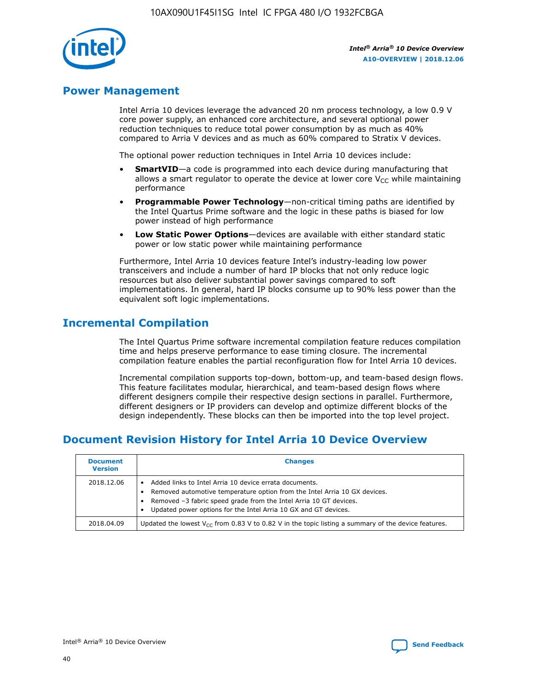

## **Power Management**

Intel Arria 10 devices leverage the advanced 20 nm process technology, a low 0.9 V core power supply, an enhanced core architecture, and several optional power reduction techniques to reduce total power consumption by as much as 40% compared to Arria V devices and as much as 60% compared to Stratix V devices.

The optional power reduction techniques in Intel Arria 10 devices include:

- **SmartVID**—a code is programmed into each device during manufacturing that allows a smart regulator to operate the device at lower core  $V_{CC}$  while maintaining performance
- **Programmable Power Technology**—non-critical timing paths are identified by the Intel Quartus Prime software and the logic in these paths is biased for low power instead of high performance
- **Low Static Power Options**—devices are available with either standard static power or low static power while maintaining performance

Furthermore, Intel Arria 10 devices feature Intel's industry-leading low power transceivers and include a number of hard IP blocks that not only reduce logic resources but also deliver substantial power savings compared to soft implementations. In general, hard IP blocks consume up to 90% less power than the equivalent soft logic implementations.

## **Incremental Compilation**

The Intel Quartus Prime software incremental compilation feature reduces compilation time and helps preserve performance to ease timing closure. The incremental compilation feature enables the partial reconfiguration flow for Intel Arria 10 devices.

Incremental compilation supports top-down, bottom-up, and team-based design flows. This feature facilitates modular, hierarchical, and team-based design flows where different designers compile their respective design sections in parallel. Furthermore, different designers or IP providers can develop and optimize different blocks of the design independently. These blocks can then be imported into the top level project.

# **Document Revision History for Intel Arria 10 Device Overview**

| <b>Document</b><br><b>Version</b> | <b>Changes</b>                                                                                                                                                                                                                                                              |
|-----------------------------------|-----------------------------------------------------------------------------------------------------------------------------------------------------------------------------------------------------------------------------------------------------------------------------|
| 2018.12.06                        | Added links to Intel Arria 10 device errata documents.<br>Removed automotive temperature option from the Intel Arria 10 GX devices.<br>Removed -3 fabric speed grade from the Intel Arria 10 GT devices.<br>Updated power options for the Intel Arria 10 GX and GT devices. |
| 2018.04.09                        | Updated the lowest $V_{CC}$ from 0.83 V to 0.82 V in the topic listing a summary of the device features.                                                                                                                                                                    |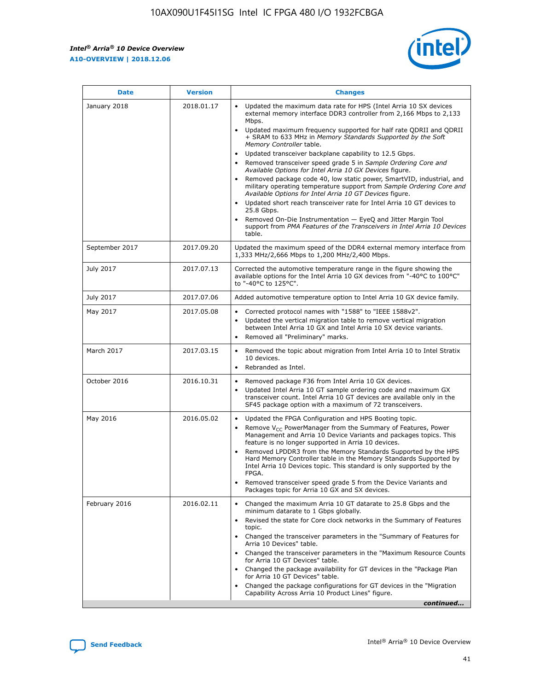

| <b>Date</b>    | <b>Version</b> | <b>Changes</b>                                                                                                                                                                                                                                                                                                                                                                                                                                                                                                                                                                                                                                                                                                                                                                                                                                                                                                                                               |
|----------------|----------------|--------------------------------------------------------------------------------------------------------------------------------------------------------------------------------------------------------------------------------------------------------------------------------------------------------------------------------------------------------------------------------------------------------------------------------------------------------------------------------------------------------------------------------------------------------------------------------------------------------------------------------------------------------------------------------------------------------------------------------------------------------------------------------------------------------------------------------------------------------------------------------------------------------------------------------------------------------------|
| January 2018   | 2018.01.17     | Updated the maximum data rate for HPS (Intel Arria 10 SX devices<br>external memory interface DDR3 controller from 2,166 Mbps to 2,133<br>Mbps.<br>Updated maximum frequency supported for half rate QDRII and QDRII<br>+ SRAM to 633 MHz in Memory Standards Supported by the Soft<br>Memory Controller table.<br>Updated transceiver backplane capability to 12.5 Gbps.<br>Removed transceiver speed grade 5 in Sample Ordering Core and<br>Available Options for Intel Arria 10 GX Devices figure.<br>Removed package code 40, low static power, SmartVID, industrial, and<br>military operating temperature support from Sample Ordering Core and<br>Available Options for Intel Arria 10 GT Devices figure.<br>Updated short reach transceiver rate for Intel Arria 10 GT devices to<br>25.8 Gbps.<br>Removed On-Die Instrumentation - EyeQ and Jitter Margin Tool<br>support from PMA Features of the Transceivers in Intel Arria 10 Devices<br>table. |
| September 2017 | 2017.09.20     | Updated the maximum speed of the DDR4 external memory interface from<br>1,333 MHz/2,666 Mbps to 1,200 MHz/2,400 Mbps.                                                                                                                                                                                                                                                                                                                                                                                                                                                                                                                                                                                                                                                                                                                                                                                                                                        |
| July 2017      | 2017.07.13     | Corrected the automotive temperature range in the figure showing the<br>available options for the Intel Arria 10 GX devices from "-40°C to 100°C"<br>to "-40°C to 125°C".                                                                                                                                                                                                                                                                                                                                                                                                                                                                                                                                                                                                                                                                                                                                                                                    |
| July 2017      | 2017.07.06     | Added automotive temperature option to Intel Arria 10 GX device family.                                                                                                                                                                                                                                                                                                                                                                                                                                                                                                                                                                                                                                                                                                                                                                                                                                                                                      |
| May 2017       | 2017.05.08     | Corrected protocol names with "1588" to "IEEE 1588v2".<br>$\bullet$<br>Updated the vertical migration table to remove vertical migration<br>$\bullet$<br>between Intel Arria 10 GX and Intel Arria 10 SX device variants.<br>Removed all "Preliminary" marks.<br>$\bullet$                                                                                                                                                                                                                                                                                                                                                                                                                                                                                                                                                                                                                                                                                   |
| March 2017     | 2017.03.15     | Removed the topic about migration from Intel Arria 10 to Intel Stratix<br>$\bullet$<br>10 devices.<br>Rebranded as Intel.<br>$\bullet$                                                                                                                                                                                                                                                                                                                                                                                                                                                                                                                                                                                                                                                                                                                                                                                                                       |
| October 2016   | 2016.10.31     | Removed package F36 from Intel Arria 10 GX devices.<br>Updated Intel Arria 10 GT sample ordering code and maximum GX<br>$\bullet$<br>transceiver count. Intel Arria 10 GT devices are available only in the<br>SF45 package option with a maximum of 72 transceivers.                                                                                                                                                                                                                                                                                                                                                                                                                                                                                                                                                                                                                                                                                        |
| May 2016       | 2016.05.02     | Updated the FPGA Configuration and HPS Booting topic.<br>$\bullet$<br>Remove V <sub>CC</sub> PowerManager from the Summary of Features, Power<br>Management and Arria 10 Device Variants and packages topics. This<br>feature is no longer supported in Arria 10 devices.<br>Removed LPDDR3 from the Memory Standards Supported by the HPS<br>Hard Memory Controller table in the Memory Standards Supported by<br>Intel Arria 10 Devices topic. This standard is only supported by the<br><b>FPGA</b><br>Removed transceiver speed grade 5 from the Device Variants and<br>Packages topic for Arria 10 GX and SX devices.                                                                                                                                                                                                                                                                                                                                   |
| February 2016  | 2016.02.11     | Changed the maximum Arria 10 GT datarate to 25.8 Gbps and the<br>$\bullet$<br>minimum datarate to 1 Gbps globally.<br>Revised the state for Core clock networks in the Summary of Features<br>$\bullet$<br>topic.<br>Changed the transceiver parameters in the "Summary of Features for<br>$\bullet$<br>Arria 10 Devices" table.<br>Changed the transceiver parameters in the "Maximum Resource Counts<br>for Arria 10 GT Devices" table.<br>Changed the package availability for GT devices in the "Package Plan<br>for Arria 10 GT Devices" table.<br>Changed the package configurations for GT devices in the "Migration"<br>Capability Across Arria 10 Product Lines" figure.<br>continued                                                                                                                                                                                                                                                               |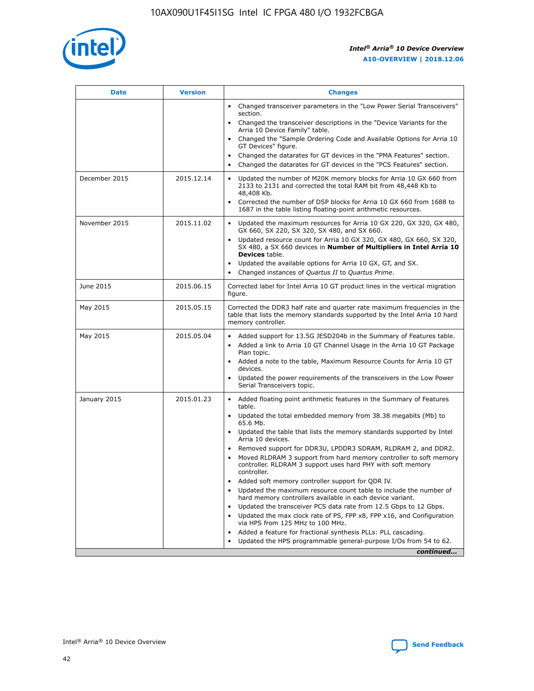

| <b>Date</b>   | <b>Version</b> | <b>Changes</b>                                                                                                                                                               |
|---------------|----------------|------------------------------------------------------------------------------------------------------------------------------------------------------------------------------|
|               |                | • Changed transceiver parameters in the "Low Power Serial Transceivers"<br>section.                                                                                          |
|               |                | • Changed the transceiver descriptions in the "Device Variants for the<br>Arria 10 Device Family" table.                                                                     |
|               |                | Changed the "Sample Ordering Code and Available Options for Arria 10<br>$\bullet$<br>GT Devices" figure.                                                                     |
|               |                | Changed the datarates for GT devices in the "PMA Features" section.                                                                                                          |
|               |                | Changed the datarates for GT devices in the "PCS Features" section.<br>$\bullet$                                                                                             |
| December 2015 | 2015.12.14     | Updated the number of M20K memory blocks for Arria 10 GX 660 from<br>2133 to 2131 and corrected the total RAM bit from 48,448 Kb to<br>48,408 Kb.                            |
|               |                | Corrected the number of DSP blocks for Arria 10 GX 660 from 1688 to<br>1687 in the table listing floating-point arithmetic resources.                                        |
| November 2015 | 2015.11.02     | Updated the maximum resources for Arria 10 GX 220, GX 320, GX 480,<br>$\bullet$<br>GX 660, SX 220, SX 320, SX 480, and SX 660.                                               |
|               |                | • Updated resource count for Arria 10 GX 320, GX 480, GX 660, SX 320,<br>SX 480, a SX 660 devices in Number of Multipliers in Intel Arria 10<br><b>Devices</b> table.        |
|               |                | Updated the available options for Arria 10 GX, GT, and SX.                                                                                                                   |
|               |                | Changed instances of Quartus II to Quartus Prime.<br>$\bullet$                                                                                                               |
| June 2015     | 2015.06.15     | Corrected label for Intel Arria 10 GT product lines in the vertical migration<br>figure.                                                                                     |
| May 2015      | 2015.05.15     | Corrected the DDR3 half rate and quarter rate maximum frequencies in the<br>table that lists the memory standards supported by the Intel Arria 10 hard<br>memory controller. |
| May 2015      | 2015.05.04     | • Added support for 13.5G JESD204b in the Summary of Features table.                                                                                                         |
|               |                | • Added a link to Arria 10 GT Channel Usage in the Arria 10 GT Package<br>Plan topic.                                                                                        |
|               |                | • Added a note to the table, Maximum Resource Counts for Arria 10 GT<br>devices.                                                                                             |
|               |                | • Updated the power requirements of the transceivers in the Low Power<br>Serial Transceivers topic.                                                                          |
| January 2015  | 2015.01.23     | • Added floating point arithmetic features in the Summary of Features<br>table.                                                                                              |
|               |                | • Updated the total embedded memory from 38.38 megabits (Mb) to<br>65.6 Mb.                                                                                                  |
|               |                | • Updated the table that lists the memory standards supported by Intel<br>Arria 10 devices.                                                                                  |
|               |                | Removed support for DDR3U, LPDDR3 SDRAM, RLDRAM 2, and DDR2.                                                                                                                 |
|               |                | Moved RLDRAM 3 support from hard memory controller to soft memory<br>controller. RLDRAM 3 support uses hard PHY with soft memory<br>controller.                              |
|               |                | Added soft memory controller support for QDR IV.<br>٠                                                                                                                        |
|               |                | Updated the maximum resource count table to include the number of<br>hard memory controllers available in each device variant.                                               |
|               |                | Updated the transceiver PCS data rate from 12.5 Gbps to 12 Gbps.<br>$\bullet$                                                                                                |
|               |                | Updated the max clock rate of PS, FPP x8, FPP x16, and Configuration<br>via HPS from 125 MHz to 100 MHz.                                                                     |
|               |                | Added a feature for fractional synthesis PLLs: PLL cascading.                                                                                                                |
|               |                | Updated the HPS programmable general-purpose I/Os from 54 to 62.<br>$\bullet$                                                                                                |
|               |                | continued                                                                                                                                                                    |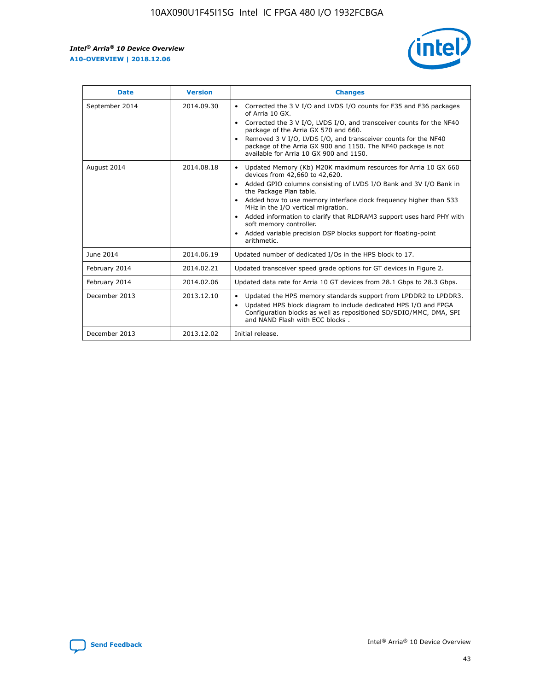r



| <b>Date</b>    | <b>Version</b> | <b>Changes</b>                                                                                                                                                                                                                                                                                                                                                                                                                                                                                                                                      |
|----------------|----------------|-----------------------------------------------------------------------------------------------------------------------------------------------------------------------------------------------------------------------------------------------------------------------------------------------------------------------------------------------------------------------------------------------------------------------------------------------------------------------------------------------------------------------------------------------------|
| September 2014 | 2014.09.30     | Corrected the 3 V I/O and LVDS I/O counts for F35 and F36 packages<br>$\bullet$<br>of Arria 10 GX.<br>Corrected the 3 V I/O, LVDS I/O, and transceiver counts for the NF40<br>$\bullet$<br>package of the Arria GX 570 and 660.<br>Removed 3 V I/O, LVDS I/O, and transceiver counts for the NF40<br>$\bullet$<br>package of the Arria GX 900 and 1150. The NF40 package is not<br>available for Arria 10 GX 900 and 1150.                                                                                                                          |
| August 2014    | 2014.08.18     | Updated Memory (Kb) M20K maximum resources for Arria 10 GX 660<br>devices from 42,660 to 42,620.<br>Added GPIO columns consisting of LVDS I/O Bank and 3V I/O Bank in<br>$\bullet$<br>the Package Plan table.<br>Added how to use memory interface clock frequency higher than 533<br>$\bullet$<br>MHz in the I/O vertical migration.<br>Added information to clarify that RLDRAM3 support uses hard PHY with<br>$\bullet$<br>soft memory controller.<br>Added variable precision DSP blocks support for floating-point<br>$\bullet$<br>arithmetic. |
| June 2014      | 2014.06.19     | Updated number of dedicated I/Os in the HPS block to 17.                                                                                                                                                                                                                                                                                                                                                                                                                                                                                            |
| February 2014  | 2014.02.21     | Updated transceiver speed grade options for GT devices in Figure 2.                                                                                                                                                                                                                                                                                                                                                                                                                                                                                 |
| February 2014  | 2014.02.06     | Updated data rate for Arria 10 GT devices from 28.1 Gbps to 28.3 Gbps.                                                                                                                                                                                                                                                                                                                                                                                                                                                                              |
| December 2013  | 2013.12.10     | Updated the HPS memory standards support from LPDDR2 to LPDDR3.<br>Updated HPS block diagram to include dedicated HPS I/O and FPGA<br>$\bullet$<br>Configuration blocks as well as repositioned SD/SDIO/MMC, DMA, SPI<br>and NAND Flash with ECC blocks.                                                                                                                                                                                                                                                                                            |
| December 2013  | 2013.12.02     | Initial release.                                                                                                                                                                                                                                                                                                                                                                                                                                                                                                                                    |